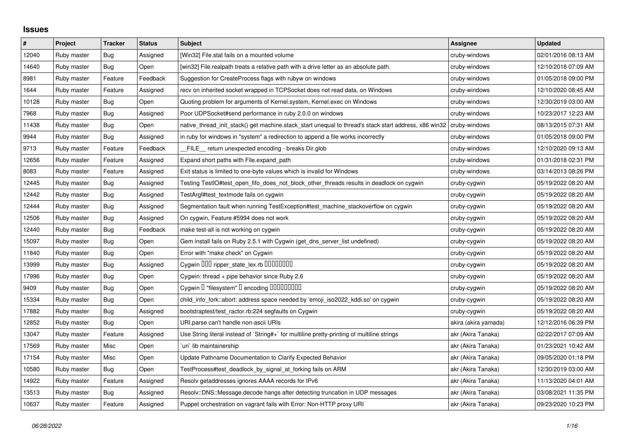## **Issues**

| $\pmb{\#}$ | Project     | <b>Tracker</b> | <b>Status</b> | <b>Subject</b>                                                                                        | Assignee             | <b>Updated</b>      |
|------------|-------------|----------------|---------------|-------------------------------------------------------------------------------------------------------|----------------------|---------------------|
| 12040      | Ruby master | <b>Bug</b>     | Assigned      | [Win32] File.stat fails on a mounted volume                                                           | cruby-windows        | 02/01/2016 08:13 AM |
| 14640      | Ruby master | Bug            | Open          | [win32] File.realpath treats a relative path with a drive letter as an absolute path.                 | cruby-windows        | 12/10/2018 07:09 AM |
| 8981       | Ruby master | Feature        | Feedback      | Suggestion for CreateProcess flags with rubyw on windows                                              | cruby-windows        | 01/05/2018 09:00 PM |
| 1644       | Ruby master | Feature        | Assigned      | recv on inherited socket wrapped in TCPSocket does not read data, on Windows                          | cruby-windows        | 12/10/2020 08:45 AM |
| 10128      | Ruby master | Bug            | Open          | Quoting problem for arguments of Kernel.system, Kernel.exec on Windows                                | cruby-windows        | 12/30/2019 03:00 AM |
| 7968       | Ruby master | Bug            | Assigned      | Poor UDPSocket#send performance in ruby 2.0.0 on windows                                              | cruby-windows        | 10/23/2017 12:23 AM |
| 11438      | Ruby master | <b>Bug</b>     | Open          | native thread init stack() get machine.stack start unequal to thread's stack start address, x86 win32 | cruby-windows        | 08/13/2015 07:31 AM |
| 9944       | Ruby master | Bug            | Assigned      | in ruby for windows in "system" a redirection to append a file works incorrectly                      | cruby-windows        | 01/05/2018 09:00 PM |
| 9713       | Ruby master | Feature        | Feedback      | FILE_ return unexpected encoding - breaks Dir.glob                                                    | cruby-windows        | 12/10/2020 09:13 AM |
| 12656      | Ruby master | Feature        | Assigned      | Expand short paths with File.expand_path                                                              | cruby-windows        | 01/31/2018 02:31 PM |
| 8083       | Ruby master | Feature        | Assigned      | Exit status is limited to one-byte values which is invalid for Windows                                | cruby-windows        | 03/14/2013 08:26 PM |
| 12445      | Ruby master | Bug            | Assigned      | Testing TestIO#test_open_fifo_does_not_block_other_threads results in deadlock on cygwin              | cruby-cygwin         | 05/19/2022 08:20 AM |
| 12442      | Ruby master | <b>Bug</b>     | Assigned      | TestArgf#test_textmode fails on cygwin                                                                | cruby-cygwin         | 05/19/2022 08:20 AM |
| 12444      | Ruby master | Bug            | Assigned      | Segmentation fault when running TestException#test machine stackoverflow on cygwin                    | cruby-cygwin         | 05/19/2022 08:20 AM |
| 12506      | Ruby master | Bug            | Assigned      | On cygwin, Feature #5994 does not work                                                                | cruby-cygwin         | 05/19/2022 08:20 AM |
| 12440      | Ruby master | Bug            | Feedback      | make test-all is not working on cygwin                                                                | cruby-cygwin         | 05/19/2022 08:20 AM |
| 15097      | Ruby master | Bug            | Open          | Gem install fails on Ruby 2.5.1 with Cygwin (get_dns_server_list undefined)                           | cruby-cygwin         | 05/19/2022 08:20 AM |
| 11840      | Ruby master | <b>Bug</b>     | Open          | Error with "make check" on Cygwin                                                                     | cruby-cygwin         | 05/19/2022 08:20 AM |
| 13999      | Ruby master | Bug            | Assigned      | Cygwin DDD ripper_state_lex.rb DDDDDDDD                                                               | cruby-cygwin         | 05/19/2022 08:20 AM |
| 17996      | Ruby master | Bug            | Open          | Cygwin: thread + pipe behavior since Ruby 2.6                                                         | cruby-cygwin         | 05/19/2022 08:20 AM |
| 9409       | Ruby master | <b>Bug</b>     | Open          | Cygwin I "filesystem" I encoding IIIIIIIIIIIII                                                        | cruby-cygwin         | 05/19/2022 08:20 AM |
| 15334      | Ruby master | Bug            | Open          | child_info_fork::abort: address space needed by 'emoji_iso2022_kddi.so' on cygwin                     | cruby-cygwin         | 05/19/2022 08:20 AM |
| 17882      | Ruby master | Bug            | Assigned      | bootstraptest/test_ractor.rb:224 segfaults on Cygwin                                                  | cruby-cygwin         | 05/19/2022 08:20 AM |
| 12852      | Ruby master | Bug            | Open          | URI.parse can't handle non-ascii URIs                                                                 | akira (akira yamada) | 12/12/2016 06:39 PM |
| 13047      | Ruby master | Feature        | Assigned      | Use String literal instead of `String#+` for multiline pretty-printing of multiline strings           | akr (Akira Tanaka)   | 02/22/2017 07:09 AM |
| 17569      | Ruby master | Misc           | Open          | uri lib maintainership                                                                                | akr (Akira Tanaka)   | 01/23/2021 10:42 AM |
| 17154      | Ruby master | Misc           | Open          | Update Pathname Documentation to Clarify Expected Behavior                                            | akr (Akira Tanaka)   | 09/05/2020 01:18 PM |
| 10580      | Ruby master | Bug            | Open          | TestProcess#test deadlock by signal at forking fails on ARM                                           | akr (Akira Tanaka)   | 12/30/2019 03:00 AM |
| 14922      | Ruby master | Feature        | Assigned      | Resolv getaddresses ignores AAAA records for IPv6                                                     | akr (Akira Tanaka)   | 11/13/2020 04:01 AM |
| 13513      | Ruby master | <b>Bug</b>     | Assigned      | Resolv::DNS::Message.decode hangs after detecting truncation in UDP messages                          | akr (Akira Tanaka)   | 03/08/2021 11:35 PM |
| 10637      | Ruby master | Feature        | Assigned      | Puppet orchestration on vagrant fails with Error: Non-HTTP proxy URI                                  | akr (Akira Tanaka)   | 09/23/2020 10:23 PM |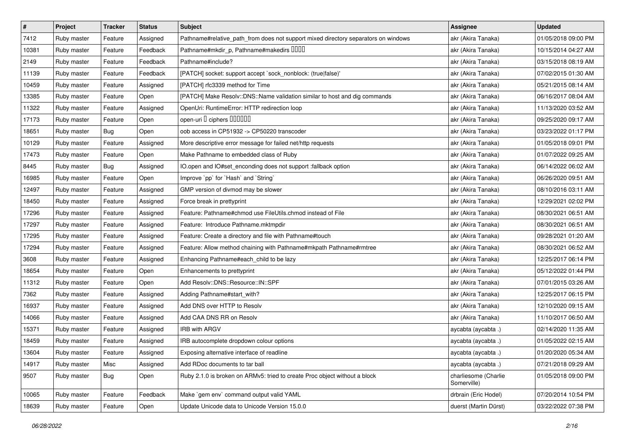| $\vert$ # | Project     | <b>Tracker</b> | <b>Status</b> | <b>Subject</b>                                                                     | Assignee                            | <b>Updated</b>      |
|-----------|-------------|----------------|---------------|------------------------------------------------------------------------------------|-------------------------------------|---------------------|
| 7412      | Ruby master | Feature        | Assigned      | Pathname#relative_path_from does not support mixed directory separators on windows | akr (Akira Tanaka)                  | 01/05/2018 09:00 PM |
| 10381     | Ruby master | Feature        | Feedback      | Pathname#mkdir_p, Pathname#makedirs IIIII                                          | akr (Akira Tanaka)                  | 10/15/2014 04:27 AM |
| 2149      | Ruby master | Feature        | Feedback      | Pathname#include?                                                                  | akr (Akira Tanaka)                  | 03/15/2018 08:19 AM |
| 11139     | Ruby master | Feature        | Feedback      | [PATCH] socket: support accept `sock_nonblock: (true false)'                       | akr (Akira Tanaka)                  | 07/02/2015 01:30 AM |
| 10459     | Ruby master | Feature        | Assigned      | [PATCH] rfc3339 method for Time                                                    | akr (Akira Tanaka)                  | 05/21/2015 08:14 AM |
| 13385     | Ruby master | Feature        | Open          | [PATCH] Make Resolv::DNS::Name validation similar to host and dig commands         | akr (Akira Tanaka)                  | 06/16/2017 08:04 AM |
| 11322     | Ruby master | Feature        | Assigned      | OpenUri: RuntimeError: HTTP redirection loop                                       | akr (Akira Tanaka)                  | 11/13/2020 03:52 AM |
| 17173     | Ruby master | Feature        | Open          | open-uri I ciphers IIIIIII                                                         | akr (Akira Tanaka)                  | 09/25/2020 09:17 AM |
| 18651     | Ruby master | <b>Bug</b>     | Open          | oob access in CP51932 -> CP50220 transcoder                                        | akr (Akira Tanaka)                  | 03/23/2022 01:17 PM |
| 10129     | Ruby master | Feature        | Assigned      | More descriptive error message for failed net/http requests                        | akr (Akira Tanaka)                  | 01/05/2018 09:01 PM |
| 17473     | Ruby master | Feature        | Open          | Make Pathname to embedded class of Ruby                                            | akr (Akira Tanaka)                  | 01/07/2022 09:25 AM |
| 8445      | Ruby master | <b>Bug</b>     | Assigned      | IO.open and IO#set_enconding does not support :fallback option                     | akr (Akira Tanaka)                  | 06/14/2022 06:02 AM |
| 16985     | Ruby master | Feature        | Open          | Improve `pp` for `Hash` and `String`                                               | akr (Akira Tanaka)                  | 06/26/2020 09:51 AM |
| 12497     | Ruby master | Feature        | Assigned      | GMP version of divmod may be slower                                                | akr (Akira Tanaka)                  | 08/10/2016 03:11 AM |
| 18450     | Ruby master | Feature        | Assigned      | Force break in prettyprint                                                         | akr (Akira Tanaka)                  | 12/29/2021 02:02 PM |
| 17296     | Ruby master | Feature        | Assigned      | Feature: Pathname#chmod use FileUtils.chmod instead of File                        | akr (Akira Tanaka)                  | 08/30/2021 06:51 AM |
| 17297     | Ruby master | Feature        | Assigned      | Feature: Introduce Pathname.mktmpdir                                               | akr (Akira Tanaka)                  | 08/30/2021 06:51 AM |
| 17295     | Ruby master | Feature        | Assigned      | Feature: Create a directory and file with Pathname#touch                           | akr (Akira Tanaka)                  | 09/28/2021 01:20 AM |
| 17294     | Ruby master | Feature        | Assigned      | Feature: Allow method chaining with Pathname#mkpath Pathname#rmtree                | akr (Akira Tanaka)                  | 08/30/2021 06:52 AM |
| 3608      | Ruby master | Feature        | Assigned      | Enhancing Pathname#each_child to be lazy                                           | akr (Akira Tanaka)                  | 12/25/2017 06:14 PM |
| 18654     | Ruby master | Feature        | Open          | Enhancements to prettyprint                                                        | akr (Akira Tanaka)                  | 05/12/2022 01:44 PM |
| 11312     | Ruby master | Feature        | Open          | Add Resolv::DNS::Resource::IN::SPF                                                 | akr (Akira Tanaka)                  | 07/01/2015 03:26 AM |
| 7362      | Ruby master | Feature        | Assigned      | Adding Pathname#start_with?                                                        | akr (Akira Tanaka)                  | 12/25/2017 06:15 PM |
| 16937     | Ruby master | Feature        | Assigned      | Add DNS over HTTP to Resolv                                                        | akr (Akira Tanaka)                  | 12/10/2020 09:15 AM |
| 14066     | Ruby master | Feature        | Assigned      | Add CAA DNS RR on Resolv                                                           | akr (Akira Tanaka)                  | 11/10/2017 06:50 AM |
| 15371     | Ruby master | Feature        | Assigned      | IRB with ARGV                                                                      | aycabta (aycabta.)                  | 02/14/2020 11:35 AM |
| 18459     | Ruby master | Feature        | Assigned      | IRB autocomplete dropdown colour options                                           | aycabta (aycabta .)                 | 01/05/2022 02:15 AM |
| 13604     | Ruby master | Feature        | Assigned      | Exposing alternative interface of readline                                         | aycabta (aycabta.)                  | 01/20/2020 05:34 AM |
| 14917     | Ruby master | Misc           | Assigned      | Add RDoc documents to tar ball                                                     | aycabta (aycabta.)                  | 07/21/2018 09:29 AM |
| 9507      | Ruby master | Bug            | Open          | Ruby 2.1.0 is broken on ARMv5: tried to create Proc object without a block         | charliesome (Charlie<br>Somerville) | 01/05/2018 09:00 PM |
| 10065     | Ruby master | Feature        | Feedback      | Make `gem env` command output valid YAML                                           | drbrain (Eric Hodel)                | 07/20/2014 10:54 PM |
| 18639     | Ruby master | Feature        | Open          | Update Unicode data to Unicode Version 15.0.0                                      | duerst (Martin Dürst)               | 03/22/2022 07:38 PM |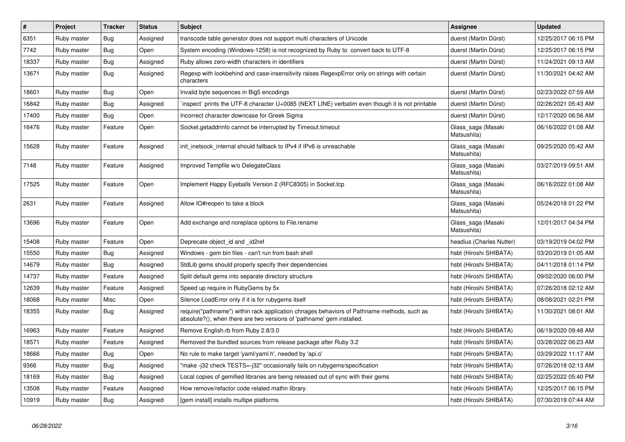| $\vert$ # | Project     | <b>Tracker</b> | <b>Status</b> | <b>Subject</b>                                                                                                                                                      | <b>Assignee</b>                   | <b>Updated</b>      |
|-----------|-------------|----------------|---------------|---------------------------------------------------------------------------------------------------------------------------------------------------------------------|-----------------------------------|---------------------|
| 6351      | Ruby master | <b>Bug</b>     | Assigned      | transcode table generator does not support multi characters of Unicode                                                                                              | duerst (Martin Dürst)             | 12/25/2017 06:15 PM |
| 7742      | Ruby master | Bug            | Open          | System encoding (Windows-1258) is not recognized by Ruby to convert back to UTF-8                                                                                   | duerst (Martin Dürst)             | 12/25/2017 06:15 PM |
| 18337     | Ruby master | <b>Bug</b>     | Assigned      | Ruby allows zero-width characters in identifiers                                                                                                                    | duerst (Martin Dürst)             | 11/24/2021 09:13 AM |
| 13671     | Ruby master | <b>Bug</b>     | Assigned      | Regexp with lookbehind and case-insensitivity raises RegexpError only on strings with certain<br>characters                                                         | duerst (Martin Dürst)             | 11/30/2021 04:42 AM |
| 18601     | Ruby master | Bug            | Open          | Invalid byte sequences in Big5 encodings                                                                                                                            | duerst (Martin Dürst)             | 02/23/2022 07:59 AM |
| 16842     | Ruby master | <b>Bug</b>     | Assigned      | inspect` prints the UTF-8 character U+0085 (NEXT LINE) verbatim even though it is not printable                                                                     | duerst (Martin Dürst)             | 02/26/2021 05:43 AM |
| 17400     | Ruby master | <b>Bug</b>     | Open          | Incorrect character downcase for Greek Sigma                                                                                                                        | duerst (Martin Dürst)             | 12/17/2020 06:56 AM |
| 16476     | Ruby master | Feature        | Open          | Socket getaddrinfo cannot be interrupted by Timeout timeout                                                                                                         | Glass saga (Masaki<br>Matsushita) | 06/16/2022 01:08 AM |
| 15628     | Ruby master | Feature        | Assigned      | init_inetsock_internal should fallback to IPv4 if IPv6 is unreachable                                                                                               | Glass_saga (Masaki<br>Matsushita) | 09/25/2020 05:42 AM |
| 7148      | Ruby master | Feature        | Assigned      | Improved Tempfile w/o DelegateClass                                                                                                                                 | Glass saga (Masaki<br>Matsushita) | 03/27/2019 09:51 AM |
| 17525     | Ruby master | Feature        | Open          | Implement Happy Eyeballs Version 2 (RFC8305) in Socket.tcp                                                                                                          | Glass_saga (Masaki<br>Matsushita) | 06/16/2022 01:08 AM |
| 2631      | Ruby master | Feature        | Assigned      | Allow IO#reopen to take a block                                                                                                                                     | Glass_saga (Masaki<br>Matsushita) | 05/24/2018 01:22 PM |
| 13696     | Ruby master | Feature        | Open          | Add exchange and noreplace options to File.rename                                                                                                                   | Glass saga (Masaki<br>Matsushita) | 12/01/2017 04:34 PM |
| 15408     | Ruby master | Feature        | Open          | Deprecate object_id and _id2ref                                                                                                                                     | headius (Charles Nutter)          | 03/19/2019 04:02 PM |
| 15550     | Ruby master | <b>Bug</b>     | Assigned      | Windows - gem bin files - can't run from bash shell                                                                                                                 | hsbt (Hiroshi SHIBATA)            | 03/20/2019 01:05 AM |
| 14679     | Ruby master | Bug            | Assigned      | StdLib gems should properly specify their dependencies                                                                                                              | hsbt (Hiroshi SHIBATA)            | 04/11/2018 01:14 PM |
| 14737     | Ruby master | Feature        | Assigned      | Split default gems into separate directory structure                                                                                                                | hsbt (Hiroshi SHIBATA)            | 09/02/2020 06:00 PM |
| 12639     | Ruby master | Feature        | Assigned      | Speed up require in RubyGems by 5x                                                                                                                                  | hsbt (Hiroshi SHIBATA)            | 07/26/2018 02:12 AM |
| 18068     | Ruby master | Misc           | Open          | Silence LoadError only if it is for rubygems itself                                                                                                                 | hsbt (Hiroshi SHIBATA)            | 08/08/2021 02:21 PM |
| 18355     | Ruby master | <b>Bug</b>     | Assigned      | require("pathname") within rack application chnages behaviors of Pathname methods, such as<br>absolute?(), when there are two versions of 'pathname' gem installed. | hsbt (Hiroshi SHIBATA)            | 11/30/2021 08:01 AM |
| 16963     | Ruby master | Feature        | Assigned      | Remove English.rb from Ruby 2.8/3.0                                                                                                                                 | hsbt (Hiroshi SHIBATA)            | 06/19/2020 09:48 AM |
| 18571     | Ruby master | Feature        | Assigned      | Removed the bundled sources from release package after Ruby 3.2                                                                                                     | hsbt (Hiroshi SHIBATA)            | 03/28/2022 06:23 AM |
| 18666     | Ruby master | Bug            | Open          | No rule to make target 'yaml/yaml.h', needed by 'api.o'                                                                                                             | hsbt (Hiroshi SHIBATA)            | 03/29/2022 11:17 AM |
| 9366      | Ruby master | Bug            | Assigned      | 'make -j32 check TESTS=-j32" occasionally fails on rubygems/specification                                                                                           | hsbt (Hiroshi SHIBATA)            | 07/26/2018 02:13 AM |
| 18169     | Ruby master | Bug            | Assigned      | Local copies of gemified libraries are being released out of sync with their gems                                                                                   | hsbt (Hiroshi SHIBATA)            | 02/25/2022 05:40 PM |
| 13508     | Ruby master | Feature        | Assigned      | How remove/refactor code related mathn library.                                                                                                                     | hsbt (Hiroshi SHIBATA)            | 12/25/2017 06:15 PM |
| 10919     | Ruby master | Bug            | Assigned      | [gem install] installs multipe platforms                                                                                                                            | hsbt (Hiroshi SHIBATA)            | 07/30/2019 07:44 AM |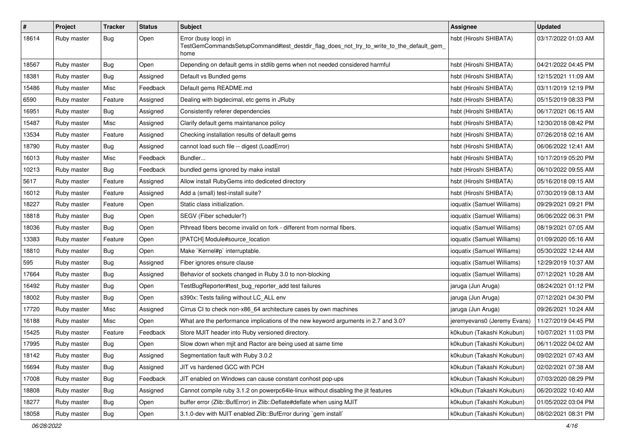| $\#$  | Project     | <b>Tracker</b> | <b>Status</b> | <b>Subject</b>                                                                                                          | <b>Assignee</b>             | <b>Updated</b>      |
|-------|-------------|----------------|---------------|-------------------------------------------------------------------------------------------------------------------------|-----------------------------|---------------------|
| 18614 | Ruby master | Bug            | Open          | Error (busy loop) in<br>TestGemCommandsSetupCommand#test_destdir_flag_does_not_try_to_write_to_the_default_gem_<br>home | hsbt (Hiroshi SHIBATA)      | 03/17/2022 01:03 AM |
| 18567 | Ruby master | Bug            | Open          | Depending on default gems in stdlib gems when not needed considered harmful                                             | hsbt (Hiroshi SHIBATA)      | 04/21/2022 04:45 PM |
| 18381 | Ruby master | Bug            | Assigned      | Default vs Bundled gems                                                                                                 | hsbt (Hiroshi SHIBATA)      | 12/15/2021 11:09 AM |
| 15486 | Ruby master | Misc           | Feedback      | Default gems README.md                                                                                                  | hsbt (Hiroshi SHIBATA)      | 03/11/2019 12:19 PM |
| 6590  | Ruby master | Feature        | Assigned      | Dealing with bigdecimal, etc gems in JRuby                                                                              | hsbt (Hiroshi SHIBATA)      | 05/15/2019 08:33 PM |
| 16951 | Ruby master | Bug            | Assigned      | Consistently referer dependencies                                                                                       | hsbt (Hiroshi SHIBATA)      | 06/17/2021 06:15 AM |
| 15487 | Ruby master | Misc           | Assigned      | Clarify default gems maintanance policy                                                                                 | hsbt (Hiroshi SHIBATA)      | 12/30/2018 08:42 PM |
| 13534 | Ruby master | Feature        | Assigned      | Checking installation results of default gems                                                                           | hsbt (Hiroshi SHIBATA)      | 07/26/2018 02:16 AM |
| 18790 | Ruby master | Bug            | Assigned      | cannot load such file -- digest (LoadError)                                                                             | hsbt (Hiroshi SHIBATA)      | 06/06/2022 12:41 AM |
| 16013 | Ruby master | Misc           | Feedback      | Bundler                                                                                                                 | hsbt (Hiroshi SHIBATA)      | 10/17/2019 05:20 PM |
| 10213 | Ruby master | Bug            | Feedback      | bundled gems ignored by make install                                                                                    | hsbt (Hiroshi SHIBATA)      | 06/10/2022 09:55 AM |
| 5617  | Ruby master | Feature        | Assigned      | Allow install RubyGems into dediceted directory                                                                         | hsbt (Hiroshi SHIBATA)      | 05/16/2018 09:15 AM |
| 16012 | Ruby master | Feature        | Assigned      | Add a (small) test-install suite?                                                                                       | hsbt (Hiroshi SHIBATA)      | 07/30/2019 08:13 AM |
| 18227 | Ruby master | Feature        | Open          | Static class initialization.                                                                                            | ioquatix (Samuel Williams)  | 09/29/2021 09:21 PM |
| 18818 | Ruby master | Bug            | Open          | SEGV (Fiber scheduler?)                                                                                                 | ioquatix (Samuel Williams)  | 06/06/2022 06:31 PM |
| 18036 | Ruby master | <b>Bug</b>     | Open          | Pthread fibers become invalid on fork - different from normal fibers.                                                   | ioquatix (Samuel Williams)  | 08/19/2021 07:05 AM |
| 13383 | Ruby master | Feature        | Open          | [PATCH] Module#source_location                                                                                          | ioquatix (Samuel Williams)  | 01/09/2020 05:16 AM |
| 18810 | Ruby master | Bug            | Open          | Make `Kernel#p` interruptable.                                                                                          | ioquatix (Samuel Williams)  | 05/30/2022 12:44 AM |
| 595   | Ruby master | <b>Bug</b>     | Assigned      | Fiber ignores ensure clause                                                                                             | ioquatix (Samuel Williams)  | 12/29/2019 10:37 AM |
| 17664 | Ruby master | <b>Bug</b>     | Assigned      | Behavior of sockets changed in Ruby 3.0 to non-blocking                                                                 | ioquatix (Samuel Williams)  | 07/12/2021 10:28 AM |
| 16492 | Ruby master | Bug            | Open          | TestBugReporter#test_bug_reporter_add test failures                                                                     | jaruga (Jun Aruga)          | 08/24/2021 01:12 PM |
| 18002 | Ruby master | Bug            | Open          | s390x: Tests failing without LC_ALL env                                                                                 | jaruga (Jun Aruga)          | 07/12/2021 04:30 PM |
| 17720 | Ruby master | Misc           | Assigned      | Cirrus CI to check non-x86_64 architecture cases by own machines                                                        | jaruga (Jun Aruga)          | 09/26/2021 10:24 AM |
| 16188 | Ruby master | Misc           | Open          | What are the performance implications of the new keyword arguments in 2.7 and 3.0?                                      | jeremyevans0 (Jeremy Evans) | 11/27/2019 04:45 PM |
| 15425 | Ruby master | Feature        | Feedback      | Store MJIT header into Ruby versioned directory.                                                                        | k0kubun (Takashi Kokubun)   | 10/07/2021 11:03 PM |
| 17995 | Ruby master | Bug            | Open          | Slow down when mjit and Ractor are being used at same time                                                              | k0kubun (Takashi Kokubun)   | 06/11/2022 04:02 AM |
| 18142 | Ruby master | Bug            | Assigned      | Segmentation fault with Ruby 3.0.2                                                                                      | k0kubun (Takashi Kokubun)   | 09/02/2021 07:43 AM |
| 16694 | Ruby master | <b>Bug</b>     | Assigned      | JIT vs hardened GCC with PCH                                                                                            | k0kubun (Takashi Kokubun)   | 02/02/2021 07:38 AM |
| 17008 | Ruby master | Bug            | Feedback      | JIT enabled on Windows can cause constant conhost pop-ups                                                               | k0kubun (Takashi Kokubun)   | 07/03/2020 08:29 PM |
| 18808 | Ruby master | <b>Bug</b>     | Assigned      | Cannot compile ruby 3.1.2 on powerpc64le-linux without disabling the jit features                                       | k0kubun (Takashi Kokubun)   | 06/20/2022 10:40 AM |
| 18277 | Ruby master | <b>Bug</b>     | Open          | buffer error (Zlib::BufError) in Zlib::Deflate#deflate when using MJIT                                                  | k0kubun (Takashi Kokubun)   | 01/05/2022 03:04 PM |
| 18058 | Ruby master | <b>Bug</b>     | Open          | 3.1.0-dev with MJIT enabled Zlib::BufError during `gem install`                                                         | k0kubun (Takashi Kokubun)   | 08/02/2021 08:31 PM |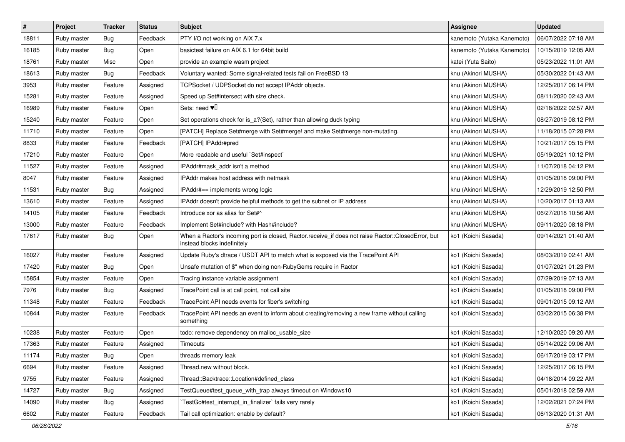| #     | Project     | <b>Tracker</b> | <b>Status</b> | <b>Subject</b>                                                                                                                    | <b>Assignee</b>            | <b>Updated</b>      |
|-------|-------------|----------------|---------------|-----------------------------------------------------------------------------------------------------------------------------------|----------------------------|---------------------|
| 18811 | Ruby master | Bug            | Feedback      | PTY I/O not working on AIX 7.x                                                                                                    | kanemoto (Yutaka Kanemoto) | 06/07/2022 07:18 AM |
| 16185 | Ruby master | Bug            | Open          | basictest failure on AIX 6.1 for 64bit build                                                                                      | kanemoto (Yutaka Kanemoto) | 10/15/2019 12:05 AM |
| 18761 | Ruby master | Misc           | Open          | provide an example wasm project                                                                                                   | katei (Yuta Saito)         | 05/23/2022 11:01 AM |
| 18613 | Ruby master | Bug            | Feedback      | Voluntary wanted: Some signal-related tests fail on FreeBSD 13                                                                    | knu (Akinori MUSHA)        | 05/30/2022 01:43 AM |
| 3953  | Ruby master | Feature        | Assigned      | TCPSocket / UDPSocket do not accept IPAddr objects.                                                                               | knu (Akinori MUSHA)        | 12/25/2017 06:14 PM |
| 15281 | Ruby master | Feature        | Assigned      | Speed up Set#intersect with size check.                                                                                           | knu (Akinori MUSHA)        | 08/11/2020 02:43 AM |
| 16989 | Ruby master | Feature        | Open          | Sets: need $\Psi$                                                                                                                 | knu (Akinori MUSHA)        | 02/18/2022 02:57 AM |
| 15240 | Ruby master | Feature        | Open          | Set operations check for is_a?(Set), rather than allowing duck typing                                                             | knu (Akinori MUSHA)        | 08/27/2019 08:12 PM |
| 11710 | Ruby master | Feature        | Open          | [PATCH] Replace Set#merge with Set#merge! and make Set#merge non-mutating.                                                        | knu (Akinori MUSHA)        | 11/18/2015 07:28 PM |
| 8833  | Ruby master | Feature        | Feedback      | [PATCH] IPAddr#pred                                                                                                               | knu (Akinori MUSHA)        | 10/21/2017 05:15 PM |
| 17210 | Ruby master | Feature        | Open          | More readable and useful `Set#inspect`                                                                                            | knu (Akinori MUSHA)        | 05/19/2021 10:12 PM |
| 11527 | Ruby master | Feature        | Assigned      | IPAddr#mask_addr isn't a method                                                                                                   | knu (Akinori MUSHA)        | 11/07/2018 04:12 PM |
| 8047  | Ruby master | Feature        | Assigned      | IPAddr makes host address with netmask                                                                                            | knu (Akinori MUSHA)        | 01/05/2018 09:00 PM |
| 11531 | Ruby master | <b>Bug</b>     | Assigned      | IPAddr#== implements wrong logic                                                                                                  | knu (Akinori MUSHA)        | 12/29/2019 12:50 PM |
| 13610 | Ruby master | Feature        | Assigned      | IPAddr doesn't provide helpful methods to get the subnet or IP address                                                            | knu (Akinori MUSHA)        | 10/20/2017 01:13 AM |
| 14105 | Ruby master | Feature        | Feedback      | Introduce xor as alias for Set#^                                                                                                  | knu (Akinori MUSHA)        | 06/27/2018 10:56 AM |
| 13000 | Ruby master | Feature        | Feedback      | Implement Set#include? with Hash#include?                                                                                         | knu (Akinori MUSHA)        | 09/11/2020 08:18 PM |
| 17617 | Ruby master | Bug            | Open          | When a Ractor's incoming port is closed, Ractor.receive_if does not raise Ractor::ClosedError, but<br>instead blocks indefinitely | ko1 (Koichi Sasada)        | 09/14/2021 01:40 AM |
| 16027 | Ruby master | Feature        | Assigned      | Update Ruby's dtrace / USDT API to match what is exposed via the TracePoint API                                                   | ko1 (Koichi Sasada)        | 08/03/2019 02:41 AM |
| 17420 | Ruby master | Bug            | Open          | Unsafe mutation of \$" when doing non-RubyGems require in Ractor                                                                  | ko1 (Koichi Sasada)        | 01/07/2021 01:23 PM |
| 15854 | Ruby master | Feature        | Open          | Tracing instance variable assignment                                                                                              | ko1 (Koichi Sasada)        | 07/29/2019 07:13 AM |
| 7976  | Ruby master | <b>Bug</b>     | Assigned      | TracePoint call is at call point, not call site                                                                                   | ko1 (Koichi Sasada)        | 01/05/2018 09:00 PM |
| 11348 | Ruby master | Feature        | Feedback      | TracePoint API needs events for fiber's switching                                                                                 | ko1 (Koichi Sasada)        | 09/01/2015 09:12 AM |
| 10844 | Ruby master | Feature        | Feedback      | TracePoint API needs an event to inform about creating/removing a new frame without calling<br>something                          | ko1 (Koichi Sasada)        | 03/02/2015 06:38 PM |
| 10238 | Ruby master | Feature        | Open          | todo: remove dependency on malloc_usable_size                                                                                     | ko1 (Koichi Sasada)        | 12/10/2020 09:20 AM |
| 17363 | Ruby master | Feature        | Assigned      | Timeouts                                                                                                                          | ko1 (Koichi Sasada)        | 05/14/2022 09:06 AM |
| 11174 | Ruby master | <b>Bug</b>     | Open          | threads memory leak                                                                                                               | ko1 (Koichi Sasada)        | 06/17/2019 03:17 PM |
| 6694  | Ruby master | Feature        | Assigned      | Thread.new without block.                                                                                                         | ko1 (Koichi Sasada)        | 12/25/2017 06:15 PM |
| 9755  | Ruby master | Feature        | Assigned      | Thread::Backtrace::Location#defined_class                                                                                         | ko1 (Koichi Sasada)        | 04/18/2014 09:22 AM |
| 14727 | Ruby master | <b>Bug</b>     | Assigned      | TestQueue#test queue with trap always timeout on Windows10                                                                        | ko1 (Koichi Sasada)        | 05/01/2018 02:59 AM |
| 14090 | Ruby master | <b>Bug</b>     | Assigned      | TestGc#test_interrupt_in_finalizer` fails very rarely                                                                             | ko1 (Koichi Sasada)        | 12/02/2021 07:24 PM |
| 6602  | Ruby master | Feature        | Feedback      | Tail call optimization: enable by default?                                                                                        | ko1 (Koichi Sasada)        | 06/13/2020 01:31 AM |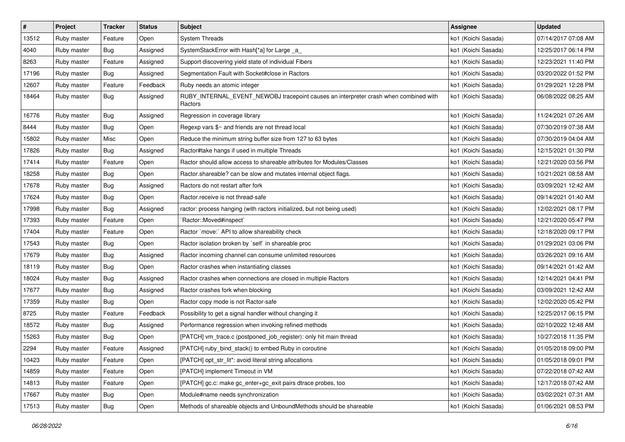| $\vert$ # | Project     | <b>Tracker</b> | <b>Status</b> | <b>Subject</b>                                                                                  | <b>Assignee</b>     | <b>Updated</b>      |
|-----------|-------------|----------------|---------------|-------------------------------------------------------------------------------------------------|---------------------|---------------------|
| 13512     | Ruby master | Feature        | Open          | <b>System Threads</b>                                                                           | ko1 (Koichi Sasada) | 07/14/2017 07:08 AM |
| 4040      | Ruby master | Bug            | Assigned      | SystemStackError with Hash[*a] for Large _a_                                                    | ko1 (Koichi Sasada) | 12/25/2017 06:14 PM |
| 8263      | Ruby master | Feature        | Assigned      | Support discovering yield state of individual Fibers                                            | ko1 (Koichi Sasada) | 12/23/2021 11:40 PM |
| 17196     | Ruby master | <b>Bug</b>     | Assigned      | Segmentation Fault with Socket#close in Ractors                                                 | ko1 (Koichi Sasada) | 03/20/2022 01:52 PM |
| 12607     | Ruby master | Feature        | Feedback      | Ruby needs an atomic integer                                                                    | ko1 (Koichi Sasada) | 01/29/2021 12:28 PM |
| 18464     | Ruby master | Bug            | Assigned      | RUBY_INTERNAL_EVENT_NEWOBJ tracepoint causes an interpreter crash when combined with<br>Ractors | ko1 (Koichi Sasada) | 06/08/2022 08:25 AM |
| 16776     | Ruby master | Bug            | Assigned      | Regression in coverage library                                                                  | ko1 (Koichi Sasada) | 11/24/2021 07:26 AM |
| 8444      | Ruby master | <b>Bug</b>     | Open          | Regexp vars \$~ and friends are not thread local                                                | ko1 (Koichi Sasada) | 07/30/2019 07:38 AM |
| 15802     | Ruby master | Misc           | Open          | Reduce the minimum string buffer size from 127 to 63 bytes                                      | ko1 (Koichi Sasada) | 07/30/2019 04:04 AM |
| 17826     | Ruby master | Bug            | Assigned      | Ractor#take hangs if used in multiple Threads                                                   | ko1 (Koichi Sasada) | 12/15/2021 01:30 PM |
| 17414     | Ruby master | Feature        | Open          | Ractor should allow access to shareable attributes for Modules/Classes                          | ko1 (Koichi Sasada) | 12/21/2020 03:56 PM |
| 18258     | Ruby master | <b>Bug</b>     | Open          | Ractor shareable? can be slow and mutates internal object flags.                                | ko1 (Koichi Sasada) | 10/21/2021 08:58 AM |
| 17678     | Ruby master | <b>Bug</b>     | Assigned      | Ractors do not restart after fork                                                               | ko1 (Koichi Sasada) | 03/09/2021 12:42 AM |
| 17624     | Ruby master | Bug            | Open          | Ractor.receive is not thread-safe                                                               | ko1 (Koichi Sasada) | 09/14/2021 01:40 AM |
| 17998     | Ruby master | Bug            | Assigned      | ractor: process hanging (with ractors initialized, but not being used)                          | ko1 (Koichi Sasada) | 12/02/2021 08:17 PM |
| 17393     | Ruby master | Feature        | Open          | `Ractor::Moved#inspect`                                                                         | ko1 (Koichi Sasada) | 12/21/2020 05:47 PM |
| 17404     | Ruby master | Feature        | Open          | Ractor `move:` API to allow shareability check                                                  | ko1 (Koichi Sasada) | 12/18/2020 09:17 PM |
| 17543     | Ruby master | Bug            | Open          | Ractor isolation broken by 'self' in shareable proc                                             | ko1 (Koichi Sasada) | 01/29/2021 03:06 PM |
| 17679     | Ruby master | Bug            | Assigned      | Ractor incoming channel can consume unlimited resources                                         | ko1 (Koichi Sasada) | 03/26/2021 09:16 AM |
| 18119     | Ruby master | <b>Bug</b>     | Open          | Ractor crashes when instantiating classes                                                       | ko1 (Koichi Sasada) | 09/14/2021 01:42 AM |
| 18024     | Ruby master | <b>Bug</b>     | Assigned      | Ractor crashes when connections are closed in multiple Ractors                                  | ko1 (Koichi Sasada) | 12/14/2021 04:41 PM |
| 17677     | Ruby master | <b>Bug</b>     | Assigned      | Ractor crashes fork when blocking                                                               | ko1 (Koichi Sasada) | 03/09/2021 12:42 AM |
| 17359     | Ruby master | <b>Bug</b>     | Open          | Ractor copy mode is not Ractor-safe                                                             | ko1 (Koichi Sasada) | 12/02/2020 05:42 PM |
| 8725      | Ruby master | Feature        | Feedback      | Possibility to get a signal handler without changing it                                         | ko1 (Koichi Sasada) | 12/25/2017 06:15 PM |
| 18572     | Ruby master | <b>Bug</b>     | Assigned      | Performance regression when invoking refined methods                                            | ko1 (Koichi Sasada) | 02/10/2022 12:48 AM |
| 15263     | Ruby master | <b>Bug</b>     | Open          | [PATCH] vm_trace.c (postponed_job_register): only hit main thread                               | ko1 (Koichi Sasada) | 10/27/2018 11:35 PM |
| 2294      | Ruby master | Feature        | Assigned      | [PATCH] ruby_bind_stack() to embed Ruby in coroutine                                            | ko1 (Koichi Sasada) | 01/05/2018 09:00 PM |
| 10423     | Ruby master | Feature        | Open          | [PATCH] opt_str_lit*: avoid literal string allocations                                          | ko1 (Koichi Sasada) | 01/05/2018 09:01 PM |
| 14859     | Ruby master | Feature        | Open          | [PATCH] implement Timeout in VM                                                                 | ko1 (Koichi Sasada) | 07/22/2018 07:42 AM |
| 14813     | Ruby master | Feature        | Open          | [PATCH] gc.c: make gc_enter+gc_exit pairs dtrace probes, too                                    | ko1 (Koichi Sasada) | 12/17/2018 07:42 AM |
| 17667     | Ruby master | Bug            | Open          | Module#name needs synchronization                                                               | ko1 (Koichi Sasada) | 03/02/2021 07:31 AM |
| 17513     | Ruby master | <b>Bug</b>     | Open          | Methods of shareable objects and UnboundMethods should be shareable                             | ko1 (Koichi Sasada) | 01/06/2021 08:53 PM |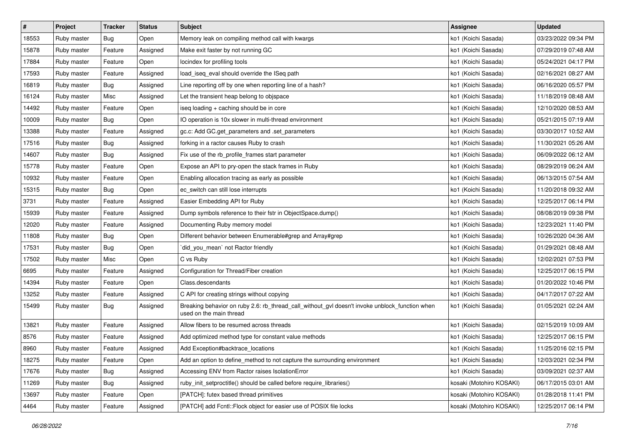| $\pmb{\#}$ | Project     | <b>Tracker</b> | <b>Status</b> | <b>Subject</b>                                                                                                            | <b>Assignee</b>          | <b>Updated</b>      |
|------------|-------------|----------------|---------------|---------------------------------------------------------------------------------------------------------------------------|--------------------------|---------------------|
| 18553      | Ruby master | <b>Bug</b>     | Open          | Memory leak on compiling method call with kwargs                                                                          | ko1 (Koichi Sasada)      | 03/23/2022 09:34 PM |
| 15878      | Ruby master | Feature        | Assigned      | Make exit faster by not running GC                                                                                        | ko1 (Koichi Sasada)      | 07/29/2019 07:48 AM |
| 17884      | Ruby master | Feature        | Open          | locindex for profiling tools                                                                                              | ko1 (Koichi Sasada)      | 05/24/2021 04:17 PM |
| 17593      | Ruby master | Feature        | Assigned      | load_iseq_eval should override the ISeq path                                                                              | ko1 (Koichi Sasada)      | 02/16/2021 08:27 AM |
| 16819      | Ruby master | Bug            | Assigned      | Line reporting off by one when reporting line of a hash?                                                                  | ko1 (Koichi Sasada)      | 06/16/2020 05:57 PM |
| 16124      | Ruby master | Misc           | Assigned      | Let the transient heap belong to objspace                                                                                 | ko1 (Koichi Sasada)      | 11/18/2019 08:48 AM |
| 14492      | Ruby master | Feature        | Open          | iseq loading + caching should be in core                                                                                  | ko1 (Koichi Sasada)      | 12/10/2020 08:53 AM |
| 10009      | Ruby master | Bug            | Open          | IO operation is 10x slower in multi-thread environment                                                                    | ko1 (Koichi Sasada)      | 05/21/2015 07:19 AM |
| 13388      | Ruby master | Feature        | Assigned      | gc.c: Add GC.get_parameters and .set_parameters                                                                           | ko1 (Koichi Sasada)      | 03/30/2017 10:52 AM |
| 17516      | Ruby master | Bug            | Assigned      | forking in a ractor causes Ruby to crash                                                                                  | ko1 (Koichi Sasada)      | 11/30/2021 05:26 AM |
| 14607      | Ruby master | <b>Bug</b>     | Assigned      | Fix use of the rb_profile_frames start parameter                                                                          | ko1 (Koichi Sasada)      | 06/09/2022 06:12 AM |
| 15778      | Ruby master | Feature        | Open          | Expose an API to pry-open the stack frames in Ruby                                                                        | ko1 (Koichi Sasada)      | 08/29/2019 06:24 AM |
| 10932      | Ruby master | Feature        | Open          | Enabling allocation tracing as early as possible                                                                          | ko1 (Koichi Sasada)      | 06/13/2015 07:54 AM |
| 15315      | Ruby master | <b>Bug</b>     | Open          | ec_switch can still lose interrupts                                                                                       | ko1 (Koichi Sasada)      | 11/20/2018 09:32 AM |
| 3731       | Ruby master | Feature        | Assigned      | Easier Embedding API for Ruby                                                                                             | ko1 (Koichi Sasada)      | 12/25/2017 06:14 PM |
| 15939      | Ruby master | Feature        | Assigned      | Dump symbols reference to their fstr in ObjectSpace.dump()                                                                | ko1 (Koichi Sasada)      | 08/08/2019 09:38 PM |
| 12020      | Ruby master | Feature        | Assigned      | Documenting Ruby memory model                                                                                             | ko1 (Koichi Sasada)      | 12/23/2021 11:40 PM |
| 11808      | Ruby master | Bug            | Open          | Different behavior between Enumerable#grep and Array#grep                                                                 | ko1 (Koichi Sasada)      | 10/26/2020 04:36 AM |
| 17531      | Ruby master | <b>Bug</b>     | Open          | did_you_mean` not Ractor friendly                                                                                         | ko1 (Koichi Sasada)      | 01/29/2021 08:48 AM |
| 17502      | Ruby master | Misc           | Open          | C vs Ruby                                                                                                                 | ko1 (Koichi Sasada)      | 12/02/2021 07:53 PM |
| 6695       | Ruby master | Feature        | Assigned      | Configuration for Thread/Fiber creation                                                                                   | ko1 (Koichi Sasada)      | 12/25/2017 06:15 PM |
| 14394      | Ruby master | Feature        | Open          | Class.descendants                                                                                                         | ko1 (Koichi Sasada)      | 01/20/2022 10:46 PM |
| 13252      | Ruby master | Feature        | Assigned      | C API for creating strings without copying                                                                                | ko1 (Koichi Sasada)      | 04/17/2017 07:22 AM |
| 15499      | Ruby master | <b>Bug</b>     | Assigned      | Breaking behavior on ruby 2.6: rb_thread_call_without_gvl doesn't invoke unblock_function when<br>used on the main thread | ko1 (Koichi Sasada)      | 01/05/2021 02:24 AM |
| 13821      | Ruby master | Feature        | Assigned      | Allow fibers to be resumed across threads                                                                                 | ko1 (Koichi Sasada)      | 02/15/2019 10:09 AM |
| 8576       | Ruby master | Feature        | Assigned      | Add optimized method type for constant value methods                                                                      | ko1 (Koichi Sasada)      | 12/25/2017 06:15 PM |
| 8960       | Ruby master | Feature        | Assigned      | Add Exception#backtrace_locations                                                                                         | ko1 (Koichi Sasada)      | 11/25/2016 02:15 PM |
| 18275      | Ruby master | Feature        | Open          | Add an option to define method to not capture the surrounding environment                                                 | ko1 (Koichi Sasada)      | 12/03/2021 02:34 PM |
| 17676      | Ruby master | Bug            | Assigned      | Accessing ENV from Ractor raises IsolationError                                                                           | ko1 (Koichi Sasada)      | 03/09/2021 02:37 AM |
| 11269      | Ruby master | Bug            | Assigned      | ruby_init_setproctitle() should be called before require_libraries()                                                      | kosaki (Motohiro KOSAKI) | 06/17/2015 03:01 AM |
| 13697      | Ruby master | Feature        | Open          | [PATCH]: futex based thread primitives                                                                                    | kosaki (Motohiro KOSAKI) | 01/28/2018 11:41 PM |
| 4464       | Ruby master | Feature        | Assigned      | [PATCH] add Fcntl::Flock object for easier use of POSIX file locks                                                        | kosaki (Motohiro KOSAKI) | 12/25/2017 06:14 PM |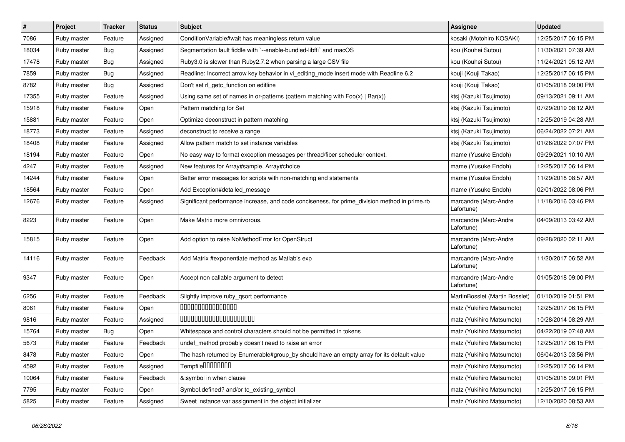| $\vert$ # | Project     | <b>Tracker</b> | <b>Status</b> | <b>Subject</b>                                                                                | <b>Assignee</b>                     | <b>Updated</b>      |
|-----------|-------------|----------------|---------------|-----------------------------------------------------------------------------------------------|-------------------------------------|---------------------|
| 7086      | Ruby master | Feature        | Assigned      | Condition Variable#wait has meaningless return value                                          | kosaki (Motohiro KOSAKI)            | 12/25/2017 06:15 PM |
| 18034     | Ruby master | Bug            | Assigned      | Segmentation fault fiddle with `--enable-bundled-libffi` and macOS                            | kou (Kouhei Sutou)                  | 11/30/2021 07:39 AM |
| 17478     | Ruby master | Bug            | Assigned      | Ruby3.0 is slower than Ruby2.7.2 when parsing a large CSV file                                | kou (Kouhei Sutou)                  | 11/24/2021 05:12 AM |
| 7859      | Ruby master | <b>Bug</b>     | Assigned      | Readline: Incorrect arrow key behavior in vi_editing_mode insert mode with Readline 6.2       | kouji (Kouji Takao)                 | 12/25/2017 06:15 PM |
| 8782      | Ruby master | <b>Bug</b>     | Assigned      | Don't set rl_getc_function on editline                                                        | kouji (Kouji Takao)                 | 01/05/2018 09:00 PM |
| 17355     | Ruby master | Feature        | Assigned      | Using same set of names in or-patterns (pattern matching with $Foo(x)   Bar(x)$ )             | ktsj (Kazuki Tsujimoto)             | 09/13/2021 09:11 AM |
| 15918     | Ruby master | Feature        | Open          | Pattern matching for Set                                                                      | ktsj (Kazuki Tsujimoto)             | 07/29/2019 08:12 AM |
| 15881     | Ruby master | Feature        | Open          | Optimize deconstruct in pattern matching                                                      | ktsj (Kazuki Tsujimoto)             | 12/25/2019 04:28 AM |
| 18773     | Ruby master | Feature        | Assigned      | deconstruct to receive a range                                                                | ktsj (Kazuki Tsujimoto)             | 06/24/2022 07:21 AM |
| 18408     | Ruby master | Feature        | Assigned      | Allow pattern match to set instance variables                                                 | ktsj (Kazuki Tsujimoto)             | 01/26/2022 07:07 PM |
| 18194     | Ruby master | Feature        | Open          | No easy way to format exception messages per thread/fiber scheduler context.                  | mame (Yusuke Endoh)                 | 09/29/2021 10:10 AM |
| 4247      | Ruby master | Feature        | Assigned      | New features for Array#sample, Array#choice                                                   | mame (Yusuke Endoh)                 | 12/25/2017 06:14 PM |
| 14244     | Ruby master | Feature        | Open          | Better error messages for scripts with non-matching end statements                            | mame (Yusuke Endoh)                 | 11/29/2018 08:57 AM |
| 18564     | Ruby master | Feature        | Open          | Add Exception#detailed message                                                                | mame (Yusuke Endoh)                 | 02/01/2022 08:06 PM |
| 12676     | Ruby master | Feature        | Assigned      | Significant performance increase, and code conciseness, for prime division method in prime.rb | marcandre (Marc-Andre<br>Lafortune) | 11/18/2016 03:46 PM |
| 8223      | Ruby master | Feature        | Open          | Make Matrix more omnivorous.                                                                  | marcandre (Marc-Andre<br>Lafortune) | 04/09/2013 03:42 AM |
| 15815     | Ruby master | Feature        | Open          | Add option to raise NoMethodError for OpenStruct                                              | marcandre (Marc-Andre<br>Lafortune) | 09/28/2020 02:11 AM |
| 14116     | Ruby master | Feature        | Feedback      | Add Matrix #exponentiate method as Matlab's exp                                               | marcandre (Marc-Andre<br>Lafortune) | 11/20/2017 06:52 AM |
| 9347      | Ruby master | Feature        | Open          | Accept non callable argument to detect                                                        | marcandre (Marc-Andre<br>Lafortune) | 01/05/2018 09:00 PM |
| 6256      | Ruby master | Feature        | Feedback      | Slightly improve ruby_qsort performance                                                       | MartinBosslet (Martin Bosslet)      | 01/10/2019 01:51 PM |
| 8061      | Ruby master | Feature        | Open          | 000000000000000                                                                               | matz (Yukihiro Matsumoto)           | 12/25/2017 06:15 PM |
| 9816      | Ruby master | Feature        | Assigned      | 00000000000000000000                                                                          | matz (Yukihiro Matsumoto)           | 10/28/2014 08:29 AM |
| 15764     | Ruby master | <b>Bug</b>     | Open          | Whitespace and control characters should not be permitted in tokens                           | matz (Yukihiro Matsumoto)           | 04/22/2019 07:48 AM |
| 5673      | Ruby master | Feature        | Feedback      | undef_method probably doesn't need to raise an error                                          | matz (Yukihiro Matsumoto)           | 12/25/2017 06:15 PM |
| 8478      | Ruby master | Feature        | Open          | The hash returned by Enumerable#group_by should have an empty array for its default value     | matz (Yukihiro Matsumoto)           | 06/04/2013 03:56 PM |
| 4592      | Ruby master | Feature        | Assigned      | Tempfile0000000                                                                               | matz (Yukihiro Matsumoto)           | 12/25/2017 06:14 PM |
| 10064     | Ruby master | Feature        | Feedback      | &:symbol in when clause                                                                       | matz (Yukihiro Matsumoto)           | 01/05/2018 09:01 PM |
| 7795      | Ruby master | Feature        | Open          | Symbol.defined? and/or to_existing_symbol                                                     | matz (Yukihiro Matsumoto)           | 12/25/2017 06:15 PM |
| 5825      | Ruby master | Feature        | Assigned      | Sweet instance var assignment in the object initializer                                       | matz (Yukihiro Matsumoto)           | 12/10/2020 08:53 AM |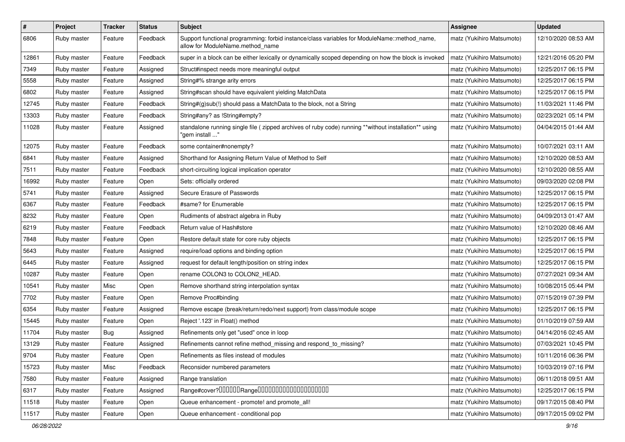| $\#$  | Project     | Tracker    | <b>Status</b> | <b>Subject</b>                                                                                                                   | <b>Assignee</b>           | <b>Updated</b>      |
|-------|-------------|------------|---------------|----------------------------------------------------------------------------------------------------------------------------------|---------------------------|---------------------|
| 6806  | Ruby master | Feature    | Feedback      | Support functional programming: forbid instance/class variables for ModuleName::method_name,<br>allow for ModuleName.method_name | matz (Yukihiro Matsumoto) | 12/10/2020 08:53 AM |
| 12861 | Ruby master | Feature    | Feedback      | super in a block can be either lexically or dynamically scoped depending on how the block is invoked                             | matz (Yukihiro Matsumoto) | 12/21/2016 05:20 PM |
| 7349  | Ruby master | Feature    | Assigned      | Struct#inspect needs more meaningful output                                                                                      | matz (Yukihiro Matsumoto) | 12/25/2017 06:15 PM |
| 5558  | Ruby master | Feature    | Assigned      | String#% strange arity errors                                                                                                    | matz (Yukihiro Matsumoto) | 12/25/2017 06:15 PM |
| 6802  | Ruby master | Feature    | Assigned      | String#scan should have equivalent yielding MatchData                                                                            | matz (Yukihiro Matsumoto) | 12/25/2017 06:15 PM |
| 12745 | Ruby master | Feature    | Feedback      | String#(g)sub(!) should pass a MatchData to the block, not a String                                                              | matz (Yukihiro Matsumoto) | 11/03/2021 11:46 PM |
| 13303 | Ruby master | Feature    | Feedback      | String#any? as !String#empty?                                                                                                    | matz (Yukihiro Matsumoto) | 02/23/2021 05:14 PM |
| 11028 | Ruby master | Feature    | Assigned      | standalone running single file ( zipped archives of ruby code) running **without installation** using<br>" gem install'          | matz (Yukihiro Matsumoto) | 04/04/2015 01:44 AM |
| 12075 | Ruby master | Feature    | Feedback      | some container#nonempty?                                                                                                         | matz (Yukihiro Matsumoto) | 10/07/2021 03:11 AM |
| 6841  | Ruby master | Feature    | Assigned      | Shorthand for Assigning Return Value of Method to Self                                                                           | matz (Yukihiro Matsumoto) | 12/10/2020 08:53 AM |
| 7511  | Ruby master | Feature    | Feedback      | short-circuiting logical implication operator                                                                                    | matz (Yukihiro Matsumoto) | 12/10/2020 08:55 AM |
| 16992 | Ruby master | Feature    | Open          | Sets: officially ordered                                                                                                         | matz (Yukihiro Matsumoto) | 09/03/2020 02:08 PM |
| 5741  | Ruby master | Feature    | Assigned      | Secure Erasure of Passwords                                                                                                      | matz (Yukihiro Matsumoto) | 12/25/2017 06:15 PM |
| 6367  | Ruby master | Feature    | Feedback      | #same? for Enumerable                                                                                                            | matz (Yukihiro Matsumoto) | 12/25/2017 06:15 PM |
| 8232  | Ruby master | Feature    | Open          | Rudiments of abstract algebra in Ruby                                                                                            | matz (Yukihiro Matsumoto) | 04/09/2013 01:47 AM |
| 6219  | Ruby master | Feature    | Feedback      | Return value of Hash#store                                                                                                       | matz (Yukihiro Matsumoto) | 12/10/2020 08:46 AM |
| 7848  | Ruby master | Feature    | Open          | Restore default state for core ruby objects                                                                                      | matz (Yukihiro Matsumoto) | 12/25/2017 06:15 PM |
| 5643  | Ruby master | Feature    | Assigned      | require/load options and binding option                                                                                          | matz (Yukihiro Matsumoto) | 12/25/2017 06:15 PM |
| 6445  | Ruby master | Feature    | Assigned      | request for default length/position on string index                                                                              | matz (Yukihiro Matsumoto) | 12/25/2017 06:15 PM |
| 10287 | Ruby master | Feature    | Open          | rename COLON3 to COLON2_HEAD.                                                                                                    | matz (Yukihiro Matsumoto) | 07/27/2021 09:34 AM |
| 10541 | Ruby master | Misc       | Open          | Remove shorthand string interpolation syntax                                                                                     | matz (Yukihiro Matsumoto) | 10/08/2015 05:44 PM |
| 7702  | Ruby master | Feature    | Open          | Remove Proc#binding                                                                                                              | matz (Yukihiro Matsumoto) | 07/15/2019 07:39 PM |
| 6354  | Ruby master | Feature    | Assigned      | Remove escape (break/return/redo/next support) from class/module scope                                                           | matz (Yukihiro Matsumoto) | 12/25/2017 06:15 PM |
| 15445 | Ruby master | Feature    | Open          | Reject '.123' in Float() method                                                                                                  | matz (Yukihiro Matsumoto) | 01/10/2019 07:59 AM |
| 11704 | Ruby master | <b>Bug</b> | Assigned      | Refinements only get "used" once in loop                                                                                         | matz (Yukihiro Matsumoto) | 04/14/2016 02:45 AM |
| 13129 | Ruby master | Feature    | Assigned      | Refinements cannot refine method_missing and respond_to_missing?                                                                 | matz (Yukihiro Matsumoto) | 07/03/2021 10:45 PM |
| 9704  | Ruby master | Feature    | Open          | Refinements as files instead of modules                                                                                          | matz (Yukihiro Matsumoto) | 10/11/2016 06:36 PM |
| 15723 | Ruby master | Misc       | Feedback      | Reconsider numbered parameters                                                                                                   | matz (Yukihiro Matsumoto) | 10/03/2019 07:16 PM |
| 7580  | Ruby master | Feature    | Assigned      | Range translation                                                                                                                | matz (Yukihiro Matsumoto) | 06/11/2018 09:51 AM |
| 6317  | Ruby master | Feature    | Assigned      |                                                                                                                                  | matz (Yukihiro Matsumoto) | 12/25/2017 06:15 PM |
| 11518 | Ruby master | Feature    | Open          | Queue enhancement - promote! and promote_all!                                                                                    | matz (Yukihiro Matsumoto) | 09/17/2015 08:40 PM |
| 11517 | Ruby master | Feature    | Open          | Queue enhancement - conditional pop                                                                                              | matz (Yukihiro Matsumoto) | 09/17/2015 09:02 PM |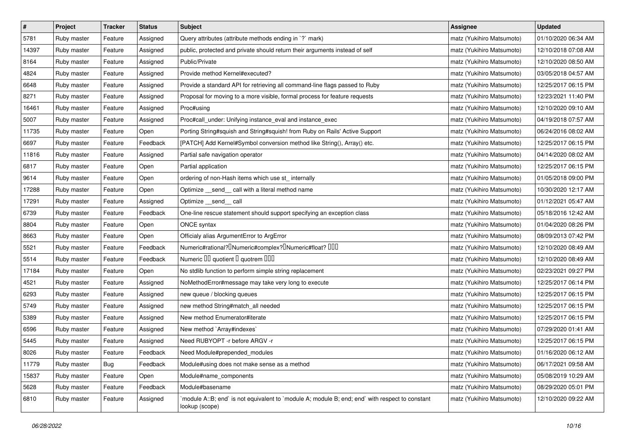| $\sharp$ | Project     | <b>Tracker</b> | <b>Status</b> | <b>Subject</b>                                                                                                   | <b>Assignee</b>           | <b>Updated</b>      |
|----------|-------------|----------------|---------------|------------------------------------------------------------------------------------------------------------------|---------------------------|---------------------|
| 5781     | Ruby master | Feature        | Assigned      | Query attributes (attribute methods ending in `?` mark)                                                          | matz (Yukihiro Matsumoto) | 01/10/2020 06:34 AM |
| 14397    | Ruby master | Feature        | Assigned      | public, protected and private should return their arguments instead of self                                      | matz (Yukihiro Matsumoto) | 12/10/2018 07:08 AM |
| 8164     | Ruby master | Feature        | Assigned      | Public/Private                                                                                                   | matz (Yukihiro Matsumoto) | 12/10/2020 08:50 AM |
| 4824     | Ruby master | Feature        | Assigned      | Provide method Kernel#executed?                                                                                  | matz (Yukihiro Matsumoto) | 03/05/2018 04:57 AM |
| 6648     | Ruby master | Feature        | Assigned      | Provide a standard API for retrieving all command-line flags passed to Ruby                                      | matz (Yukihiro Matsumoto) | 12/25/2017 06:15 PM |
| 8271     | Ruby master | Feature        | Assigned      | Proposal for moving to a more visible, formal process for feature requests                                       | matz (Yukihiro Matsumoto) | 12/23/2021 11:40 PM |
| 16461    | Ruby master | Feature        | Assigned      | Proc#using                                                                                                       | matz (Yukihiro Matsumoto) | 12/10/2020 09:10 AM |
| 5007     | Ruby master | Feature        | Assigned      | Proc#call_under: Unifying instance_eval and instance_exec                                                        | matz (Yukihiro Matsumoto) | 04/19/2018 07:57 AM |
| 11735    | Ruby master | Feature        | Open          | Porting String#squish and String#squish! from Ruby on Rails' Active Support                                      | matz (Yukihiro Matsumoto) | 06/24/2016 08:02 AM |
| 6697     | Ruby master | Feature        | Feedback      | [PATCH] Add Kernel#Symbol conversion method like String(), Array() etc.                                          | matz (Yukihiro Matsumoto) | 12/25/2017 06:15 PM |
| 11816    | Ruby master | Feature        | Assigned      | Partial safe navigation operator                                                                                 | matz (Yukihiro Matsumoto) | 04/14/2020 08:02 AM |
| 6817     | Ruby master | Feature        | Open          | Partial application                                                                                              | matz (Yukihiro Matsumoto) | 12/25/2017 06:15 PM |
| 9614     | Ruby master | Feature        | Open          | ordering of non-Hash items which use st_ internally                                                              | matz (Yukihiro Matsumoto) | 01/05/2018 09:00 PM |
| 17288    | Ruby master | Feature        | Open          | Optimize __ send__ call with a literal method name                                                               | matz (Yukihiro Matsumoto) | 10/30/2020 12:17 AM |
| 17291    | Ruby master | Feature        | Assigned      | Optimize send call                                                                                               | matz (Yukihiro Matsumoto) | 01/12/2021 05:47 AM |
| 6739     | Ruby master | Feature        | Feedback      | One-line rescue statement should support specifying an exception class                                           | matz (Yukihiro Matsumoto) | 05/18/2016 12:42 AM |
| 8804     | Ruby master | Feature        | Open          | ONCE syntax                                                                                                      | matz (Yukihiro Matsumoto) | 01/04/2020 08:26 PM |
| 8663     | Ruby master | Feature        | Open          | Officialy alias ArgumentError to ArgError                                                                        | matz (Yukihiro Matsumoto) | 08/09/2013 07:42 PM |
| 5521     | Ruby master | Feature        | Feedback      | Numeric#rational? <sup>[]</sup> Numeric#complex? <sup>[]</sup> Numeric#float? <sup>[10]</sup>                    | matz (Yukihiro Matsumoto) | 12/10/2020 08:49 AM |
| 5514     | Ruby master | Feature        | Feedback      | Numeric III quotient I quotrem IIII                                                                              | matz (Yukihiro Matsumoto) | 12/10/2020 08:49 AM |
| 17184    | Ruby master | Feature        | Open          | No stdlib function to perform simple string replacement                                                          | matz (Yukihiro Matsumoto) | 02/23/2021 09:27 PM |
| 4521     | Ruby master | Feature        | Assigned      | NoMethodError#message may take very long to execute                                                              | matz (Yukihiro Matsumoto) | 12/25/2017 06:14 PM |
| 6293     | Ruby master | Feature        | Assigned      | new queue / blocking queues                                                                                      | matz (Yukihiro Matsumoto) | 12/25/2017 06:15 PM |
| 5749     | Ruby master | Feature        | Assigned      | new method String#match_all needed                                                                               | matz (Yukihiro Matsumoto) | 12/25/2017 06:15 PM |
| 5389     | Ruby master | Feature        | Assigned      | New method Enumerator#iterate                                                                                    | matz (Yukihiro Matsumoto) | 12/25/2017 06:15 PM |
| 6596     | Ruby master | Feature        | Assigned      | New method `Array#indexes`                                                                                       | matz (Yukihiro Matsumoto) | 07/29/2020 01:41 AM |
| 5445     | Ruby master | Feature        | Assigned      | Need RUBYOPT -r before ARGV -r                                                                                   | matz (Yukihiro Matsumoto) | 12/25/2017 06:15 PM |
| 8026     | Ruby master | Feature        | Feedback      | Need Module#prepended_modules                                                                                    | matz (Yukihiro Matsumoto) | 01/16/2020 06:12 AM |
| 11779    | Ruby master | Bug            | Feedback      | Module#using does not make sense as a method                                                                     | matz (Yukihiro Matsumoto) | 06/17/2021 09:58 AM |
| 15837    | Ruby master | Feature        | Open          | Module#name_components                                                                                           | matz (Yukihiro Matsumoto) | 05/08/2019 10:29 AM |
| 5628     | Ruby master | Feature        | Feedback      | Module#basename                                                                                                  | matz (Yukihiro Matsumoto) | 08/29/2020 05:01 PM |
| 6810     | Ruby master | Feature        | Assigned      | module A::B; end` is not equivalent to `module A; module B; end; end` with respect to constant<br>lookup (scope) | matz (Yukihiro Matsumoto) | 12/10/2020 09:22 AM |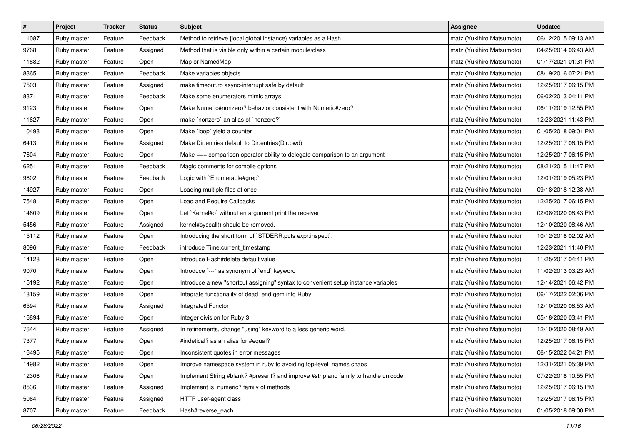| $\vert$ # | Project     | <b>Tracker</b> | <b>Status</b> | Subject                                                                            | <b>Assignee</b>           | <b>Updated</b>      |
|-----------|-------------|----------------|---------------|------------------------------------------------------------------------------------|---------------------------|---------------------|
| 11087     | Ruby master | Feature        | Feedback      | Method to retrieve {local, global, instance} variables as a Hash                   | matz (Yukihiro Matsumoto) | 06/12/2015 09:13 AM |
| 9768      | Ruby master | Feature        | Assigned      | Method that is visible only within a certain module/class                          | matz (Yukihiro Matsumoto) | 04/25/2014 06:43 AM |
| 11882     | Ruby master | Feature        | Open          | Map or NamedMap                                                                    | matz (Yukihiro Matsumoto) | 01/17/2021 01:31 PM |
| 8365      | Ruby master | Feature        | Feedback      | Make variables objects                                                             | matz (Yukihiro Matsumoto) | 08/19/2016 07:21 PM |
| 7503      | Ruby master | Feature        | Assigned      | make timeout.rb async-interrupt safe by default                                    | matz (Yukihiro Matsumoto) | 12/25/2017 06:15 PM |
| 8371      | Ruby master | Feature        | Feedback      | Make some enumerators mimic arrays                                                 | matz (Yukihiro Matsumoto) | 06/02/2013 04:11 PM |
| 9123      | Ruby master | Feature        | Open          | Make Numeric#nonzero? behavior consistent with Numeric#zero?                       | matz (Yukihiro Matsumoto) | 06/11/2019 12:55 PM |
| 11627     | Ruby master | Feature        | Open          | make `nonzero` an alias of `nonzero?`                                              | matz (Yukihiro Matsumoto) | 12/23/2021 11:43 PM |
| 10498     | Ruby master | Feature        | Open          | Make `loop` yield a counter                                                        | matz (Yukihiro Matsumoto) | 01/05/2018 09:01 PM |
| 6413      | Ruby master | Feature        | Assigned      | Make Dir.entries default to Dir.entries(Dir.pwd)                                   | matz (Yukihiro Matsumoto) | 12/25/2017 06:15 PM |
| 7604      | Ruby master | Feature        | Open          | Make === comparison operator ability to delegate comparison to an argument         | matz (Yukihiro Matsumoto) | 12/25/2017 06:15 PM |
| 6251      | Ruby master | Feature        | Feedback      | Magic comments for compile options                                                 | matz (Yukihiro Matsumoto) | 08/21/2015 11:47 PM |
| 9602      | Ruby master | Feature        | Feedback      | Logic with `Enumerable#grep`                                                       | matz (Yukihiro Matsumoto) | 12/01/2019 05:23 PM |
| 14927     | Ruby master | Feature        | Open          | Loading multiple files at once                                                     | matz (Yukihiro Matsumoto) | 09/18/2018 12:38 AM |
| 7548      | Ruby master | Feature        | Open          | Load and Require Callbacks                                                         | matz (Yukihiro Matsumoto) | 12/25/2017 06:15 PM |
| 14609     | Ruby master | Feature        | Open          | Let `Kernel#p` without an argument print the receiver                              | matz (Yukihiro Matsumoto) | 02/08/2020 08:43 PM |
| 5456      | Ruby master | Feature        | Assigned      | kernel#syscall() should be removed.                                                | matz (Yukihiro Matsumoto) | 12/10/2020 08:46 AM |
| 15112     | Ruby master | Feature        | Open          | Introducing the short form of `STDERR.puts expr.inspect`.                          | matz (Yukihiro Matsumoto) | 10/12/2018 02:02 AM |
| 8096      | Ruby master | Feature        | Feedback      | introduce Time.current_timestamp                                                   | matz (Yukihiro Matsumoto) | 12/23/2021 11:40 PM |
| 14128     | Ruby master | Feature        | Open          | Introduce Hash#delete default value                                                | matz (Yukihiro Matsumoto) | 11/25/2017 04:41 PM |
| 9070      | Ruby master | Feature        | Open          | Introduce `---` as synonym of `end` keyword                                        | matz (Yukihiro Matsumoto) | 11/02/2013 03:23 AM |
| 15192     | Ruby master | Feature        | Open          | Introduce a new "shortcut assigning" syntax to convenient setup instance variables | matz (Yukihiro Matsumoto) | 12/14/2021 06:42 PM |
| 18159     | Ruby master | Feature        | Open          | Integrate functionality of dead_end gem into Ruby                                  | matz (Yukihiro Matsumoto) | 06/17/2022 02:06 PM |
| 6594      | Ruby master | Feature        | Assigned      | Integrated Functor                                                                 | matz (Yukihiro Matsumoto) | 12/10/2020 08:53 AM |
| 16894     | Ruby master | Feature        | Open          | Integer division for Ruby 3                                                        | matz (Yukihiro Matsumoto) | 05/18/2020 03:41 PM |
| 7644      | Ruby master | Feature        | Assigned      | In refinements, change "using" keyword to a less generic word.                     | matz (Yukihiro Matsumoto) | 12/10/2020 08:49 AM |
| 7377      | Ruby master | Feature        | Open          | #indetical? as an alias for #equal?                                                | matz (Yukihiro Matsumoto) | 12/25/2017 06:15 PM |
| 16495     | Ruby master | Feature        | Open          | Inconsistent quotes in error messages                                              | matz (Yukihiro Matsumoto) | 06/15/2022 04:21 PM |
| 14982     | Ruby master | Feature        | Open          | Improve namespace system in ruby to avoiding top-level names chaos                 | matz (Yukihiro Matsumoto) | 12/31/2021 05:39 PM |
| 12306     | Ruby master | Feature        | Open          | Implement String #blank? #present? and improve #strip and family to handle unicode | matz (Yukihiro Matsumoto) | 07/22/2018 10:55 PM |
| 8536      | Ruby master | Feature        | Assigned      | Implement is_numeric? family of methods                                            | matz (Yukihiro Matsumoto) | 12/25/2017 06:15 PM |
| 5064      | Ruby master | Feature        | Assigned      | HTTP user-agent class                                                              | matz (Yukihiro Matsumoto) | 12/25/2017 06:15 PM |
| 8707      | Ruby master | Feature        | Feedback      | Hash#reverse_each                                                                  | matz (Yukihiro Matsumoto) | 01/05/2018 09:00 PM |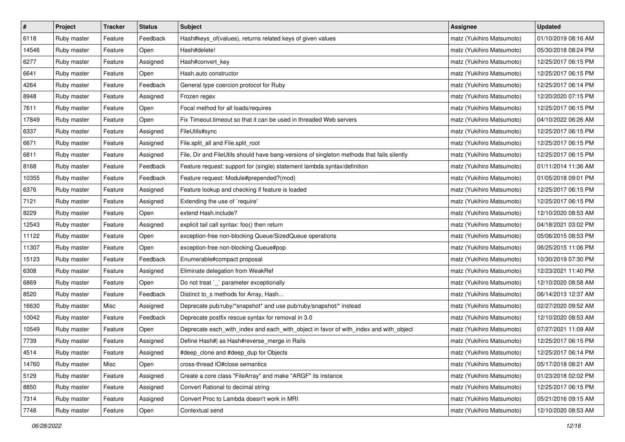| $\pmb{\#}$ | Project     | <b>Tracker</b> | <b>Status</b> | Subject                                                                                    | <b>Assignee</b>           | <b>Updated</b>      |
|------------|-------------|----------------|---------------|--------------------------------------------------------------------------------------------|---------------------------|---------------------|
| 6118       | Ruby master | Feature        | Feedback      | Hash#keys_of(values), returns related keys of given values                                 | matz (Yukihiro Matsumoto) | 01/10/2019 08:16 AM |
| 14546      | Ruby master | Feature        | Open          | Hash#delete!                                                                               | matz (Yukihiro Matsumoto) | 05/30/2018 08:24 PM |
| 6277       | Ruby master | Feature        | Assigned      | Hash#convert_key                                                                           | matz (Yukihiro Matsumoto) | 12/25/2017 06:15 PM |
| 6641       | Ruby master | Feature        | Open          | Hash.auto constructor                                                                      | matz (Yukihiro Matsumoto) | 12/25/2017 06:15 PM |
| 4264       | Ruby master | Feature        | Feedback      | General type coercion protocol for Ruby                                                    | matz (Yukihiro Matsumoto) | 12/25/2017 06:14 PM |
| 8948       | Ruby master | Feature        | Assigned      | Frozen regex                                                                               | matz (Yukihiro Matsumoto) | 12/20/2020 07:15 PM |
| 7611       | Ruby master | Feature        | Open          | Focal method for all loads/requires                                                        | matz (Yukihiro Matsumoto) | 12/25/2017 06:15 PM |
| 17849      | Ruby master | Feature        | Open          | Fix Timeout timeout so that it can be used in threaded Web servers                         | matz (Yukihiro Matsumoto) | 04/10/2022 06:26 AM |
| 6337       | Ruby master | Feature        | Assigned      | FileUtils#sync                                                                             | matz (Yukihiro Matsumoto) | 12/25/2017 06:15 PM |
| 6671       | Ruby master | Feature        | Assigned      | File.split_all and File.split_root                                                         | matz (Yukihiro Matsumoto) | 12/25/2017 06:15 PM |
| 6811       | Ruby master | Feature        | Assigned      | File, Dir and FileUtils should have bang-versions of singleton methods that fails silently | matz (Yukihiro Matsumoto) | 12/25/2017 06:15 PM |
| 8168       | Ruby master | Feature        | Feedback      | Feature request: support for (single) statement lambda syntax/definition                   | matz (Yukihiro Matsumoto) | 01/11/2014 11:36 AM |
| 10355      | Ruby master | Feature        | Feedback      | Feature request: Module#prepended?(mod)                                                    | matz (Yukihiro Matsumoto) | 01/05/2018 09:01 PM |
| 6376       | Ruby master | Feature        | Assigned      | Feature lookup and checking if feature is loaded                                           | matz (Yukihiro Matsumoto) | 12/25/2017 06:15 PM |
| 7121       | Ruby master | Feature        | Assigned      | Extending the use of `require'                                                             | matz (Yukihiro Matsumoto) | 12/25/2017 06:15 PM |
| 8229       | Ruby master | Feature        | Open          | extend Hash.include?                                                                       | matz (Yukihiro Matsumoto) | 12/10/2020 08:53 AM |
| 12543      | Ruby master | Feature        | Assigned      | explicit tail call syntax: foo() then return                                               | matz (Yukihiro Matsumoto) | 04/18/2021 03:02 PM |
| 11122      | Ruby master | Feature        | Open          | exception-free non-blocking Queue/SizedQueue operations                                    | matz (Yukihiro Matsumoto) | 05/06/2015 08:53 PM |
| 11307      | Ruby master | Feature        | Open          | exception-free non-blocking Queue#pop                                                      | matz (Yukihiro Matsumoto) | 06/25/2015 11:06 PM |
| 15123      | Ruby master | Feature        | Feedback      | Enumerable#compact proposal                                                                | matz (Yukihiro Matsumoto) | 10/30/2019 07:30 PM |
| 6308       | Ruby master | Feature        | Assigned      | Eliminate delegation from WeakRef                                                          | matz (Yukihiro Matsumoto) | 12/23/2021 11:40 PM |
| 6869       | Ruby master | Feature        | Open          | Do not treat `_` parameter exceptionally                                                   | matz (Yukihiro Matsumoto) | 12/10/2020 08:58 AM |
| 8520       | Ruby master | Feature        | Feedback      | Distinct to_s methods for Array, Hash                                                      | matz (Yukihiro Matsumoto) | 06/14/2013 12:37 AM |
| 16630      | Ruby master | Misc           | Assigned      | Deprecate pub/ruby/*snapshot* and use pub/ruby/snapshot/* instead                          | matz (Yukihiro Matsumoto) | 02/27/2020 09:52 AM |
| 10042      | Ruby master | Feature        | Feedback      | Deprecate postfix rescue syntax for removal in 3.0                                         | matz (Yukihiro Matsumoto) | 12/10/2020 08:53 AM |
| 10549      | Ruby master | Feature        | Open          | Deprecate each_with_index and each_with_object in favor of with_index and with_object      | matz (Yukihiro Matsumoto) | 07/27/2021 11:09 AM |
| 7739       | Ruby master | Feature        | Assigned      | Define Hash#  as Hash#reverse_merge in Rails                                               | matz (Yukihiro Matsumoto) | 12/25/2017 06:15 PM |
| 4514       | Ruby master | Feature        | Assigned      | #deep_clone and #deep_dup for Objects                                                      | matz (Yukihiro Matsumoto) | 12/25/2017 06:14 PM |
| 14760      | Ruby master | Misc           | Open          | cross-thread IO#close semantics                                                            | matz (Yukihiro Matsumoto) | 05/17/2018 08:21 AM |
| 5129       | Ruby master | Feature        | Assigned      | Create a core class "FileArray" and make "ARGF" its instance                               | matz (Yukihiro Matsumoto) | 01/23/2018 02:02 PM |
| 8850       | Ruby master | Feature        | Assigned      | Convert Rational to decimal string                                                         | matz (Yukihiro Matsumoto) | 12/25/2017 06:15 PM |
| 7314       | Ruby master | Feature        | Assigned      | Convert Proc to Lambda doesn't work in MRI                                                 | matz (Yukihiro Matsumoto) | 05/21/2016 09:15 AM |
| 7748       | Ruby master | Feature        | Open          | Contextual send                                                                            | matz (Yukihiro Matsumoto) | 12/10/2020 08:53 AM |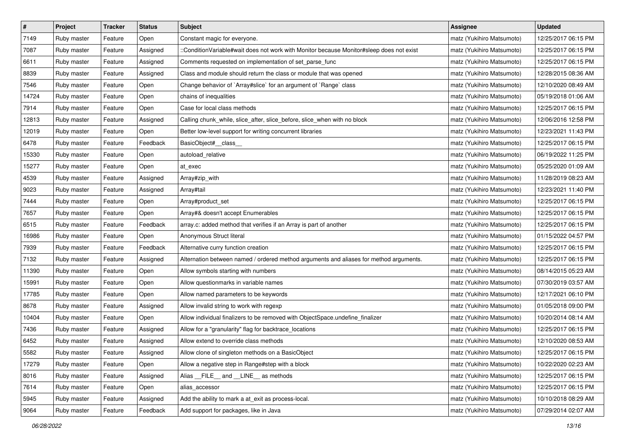| $\pmb{\#}$ | Project     | <b>Tracker</b> | <b>Status</b> | Subject                                                                                  | <b>Assignee</b>           | <b>Updated</b>      |
|------------|-------------|----------------|---------------|------------------------------------------------------------------------------------------|---------------------------|---------------------|
| 7149       | Ruby master | Feature        | Open          | Constant magic for everyone.                                                             | matz (Yukihiro Matsumoto) | 12/25/2017 06:15 PM |
| 7087       | Ruby master | Feature        | Assigned      | ::ConditionVariable#wait does not work with Monitor because Monitor#sleep does not exist | matz (Yukihiro Matsumoto) | 12/25/2017 06:15 PM |
| 6611       | Ruby master | Feature        | Assigned      | Comments requested on implementation of set_parse_func                                   | matz (Yukihiro Matsumoto) | 12/25/2017 06:15 PM |
| 8839       | Ruby master | Feature        | Assigned      | Class and module should return the class or module that was opened                       | matz (Yukihiro Matsumoto) | 12/28/2015 08:36 AM |
| 7546       | Ruby master | Feature        | Open          | Change behavior of `Array#slice` for an argument of `Range` class                        | matz (Yukihiro Matsumoto) | 12/10/2020 08:49 AM |
| 14724      | Ruby master | Feature        | Open          | chains of inequalities                                                                   | matz (Yukihiro Matsumoto) | 05/19/2018 01:06 AM |
| 7914       | Ruby master | Feature        | Open          | Case for local class methods                                                             | matz (Yukihiro Matsumoto) | 12/25/2017 06:15 PM |
| 12813      | Ruby master | Feature        | Assigned      | Calling chunk_while, slice_after, slice_before, slice_when with no block                 | matz (Yukihiro Matsumoto) | 12/06/2016 12:58 PM |
| 12019      | Ruby master | Feature        | Open          | Better low-level support for writing concurrent libraries                                | matz (Yukihiro Matsumoto) | 12/23/2021 11:43 PM |
| 6478       | Ruby master | Feature        | Feedback      | BasicObject#_class_                                                                      | matz (Yukihiro Matsumoto) | 12/25/2017 06:15 PM |
| 15330      | Ruby master | Feature        | Open          | autoload_relative                                                                        | matz (Yukihiro Matsumoto) | 06/19/2022 11:25 PM |
| 15277      | Ruby master | Feature        | Open          | at_exec                                                                                  | matz (Yukihiro Matsumoto) | 05/25/2020 01:09 AM |
| 4539       | Ruby master | Feature        | Assigned      | Array#zip_with                                                                           | matz (Yukihiro Matsumoto) | 11/28/2019 08:23 AM |
| 9023       | Ruby master | Feature        | Assigned      | Array#tail                                                                               | matz (Yukihiro Matsumoto) | 12/23/2021 11:40 PM |
| 7444       | Ruby master | Feature        | Open          | Array#product_set                                                                        | matz (Yukihiro Matsumoto) | 12/25/2017 06:15 PM |
| 7657       | Ruby master | Feature        | Open          | Array#& doesn't accept Enumerables                                                       | matz (Yukihiro Matsumoto) | 12/25/2017 06:15 PM |
| 6515       | Ruby master | Feature        | Feedback      | array.c: added method that verifies if an Array is part of another                       | matz (Yukihiro Matsumoto) | 12/25/2017 06:15 PM |
| 16986      | Ruby master | Feature        | Open          | Anonymous Struct literal                                                                 | matz (Yukihiro Matsumoto) | 01/15/2022 04:57 PM |
| 7939       | Ruby master | Feature        | Feedback      | Alternative curry function creation                                                      | matz (Yukihiro Matsumoto) | 12/25/2017 06:15 PM |
| 7132       | Ruby master | Feature        | Assigned      | Alternation between named / ordered method arguments and aliases for method arguments.   | matz (Yukihiro Matsumoto) | 12/25/2017 06:15 PM |
| 11390      | Ruby master | Feature        | Open          | Allow symbols starting with numbers                                                      | matz (Yukihiro Matsumoto) | 08/14/2015 05:23 AM |
| 15991      | Ruby master | Feature        | Open          | Allow questionmarks in variable names                                                    | matz (Yukihiro Matsumoto) | 07/30/2019 03:57 AM |
| 17785      | Ruby master | Feature        | Open          | Allow named parameters to be keywords                                                    | matz (Yukihiro Matsumoto) | 12/17/2021 06:10 PM |
| 8678       | Ruby master | Feature        | Assigned      | Allow invalid string to work with regexp                                                 | matz (Yukihiro Matsumoto) | 01/05/2018 09:00 PM |
| 10404      | Ruby master | Feature        | Open          | Allow individual finalizers to be removed with ObjectSpace.undefine_finalizer            | matz (Yukihiro Matsumoto) | 10/20/2014 08:14 AM |
| 7436       | Ruby master | Feature        | Assigned      | Allow for a "granularity" flag for backtrace_locations                                   | matz (Yukihiro Matsumoto) | 12/25/2017 06:15 PM |
| 6452       | Ruby master | Feature        | Assigned      | Allow extend to override class methods                                                   | matz (Yukihiro Matsumoto) | 12/10/2020 08:53 AM |
| 5582       | Ruby master | Feature        | Assigned      | Allow clone of singleton methods on a BasicObject                                        | matz (Yukihiro Matsumoto) | 12/25/2017 06:15 PM |
| 17279      | Ruby master | Feature        | Open          | Allow a negative step in Range#step with a block                                         | matz (Yukihiro Matsumoto) | 10/22/2020 02:23 AM |
| 8016       | Ruby master | Feature        | Assigned      | Alias FILE and LINE as methods                                                           | matz (Yukihiro Matsumoto) | 12/25/2017 06:15 PM |
| 7614       | Ruby master | Feature        | Open          | alias_accessor                                                                           | matz (Yukihiro Matsumoto) | 12/25/2017 06:15 PM |
| 5945       | Ruby master | Feature        | Assigned      | Add the ability to mark a at_exit as process-local.                                      | matz (Yukihiro Matsumoto) | 10/10/2018 08:29 AM |
| 9064       | Ruby master | Feature        | Feedback      | Add support for packages, like in Java                                                   | matz (Yukihiro Matsumoto) | 07/29/2014 02:07 AM |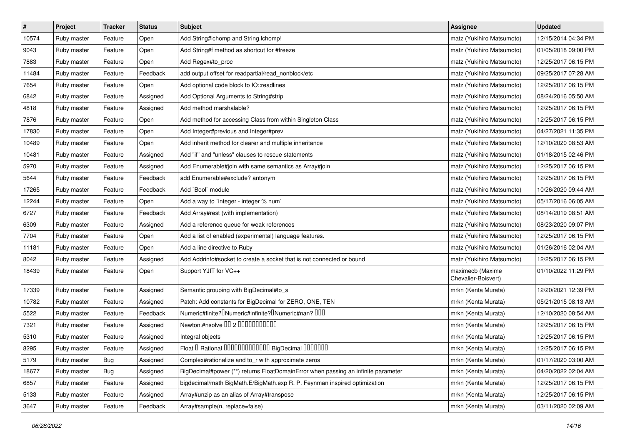| $\pmb{\#}$ | Project     | <b>Tracker</b> | <b>Status</b> | <b>Subject</b>                                                                             | <b>Assignee</b>                         | <b>Updated</b>      |
|------------|-------------|----------------|---------------|--------------------------------------------------------------------------------------------|-----------------------------------------|---------------------|
| 10574      | Ruby master | Feature        | Open          | Add String#Ichomp and String.Ichomp!                                                       | matz (Yukihiro Matsumoto)               | 12/15/2014 04:34 PM |
| 9043       | Ruby master | Feature        | Open          | Add String#f method as shortcut for #freeze                                                | matz (Yukihiro Matsumoto)               | 01/05/2018 09:00 PM |
| 7883       | Ruby master | Feature        | Open          | Add Regex#to_proc                                                                          | matz (Yukihiro Matsumoto)               | 12/25/2017 06:15 PM |
| 11484      | Ruby master | Feature        | Feedback      | add output offset for readpartial/read_nonblock/etc                                        | matz (Yukihiro Matsumoto)               | 09/25/2017 07:28 AM |
| 7654       | Ruby master | Feature        | Open          | Add optional code block to IO::readlines                                                   | matz (Yukihiro Matsumoto)               | 12/25/2017 06:15 PM |
| 6842       | Ruby master | Feature        | Assigned      | Add Optional Arguments to String#strip                                                     | matz (Yukihiro Matsumoto)               | 08/24/2016 05:50 AM |
| 4818       | Ruby master | Feature        | Assigned      | Add method marshalable?                                                                    | matz (Yukihiro Matsumoto)               | 12/25/2017 06:15 PM |
| 7876       | Ruby master | Feature        | Open          | Add method for accessing Class from within Singleton Class                                 | matz (Yukihiro Matsumoto)               | 12/25/2017 06:15 PM |
| 17830      | Ruby master | Feature        | Open          | Add Integer#previous and Integer#prev                                                      | matz (Yukihiro Matsumoto)               | 04/27/2021 11:35 PM |
| 10489      | Ruby master | Feature        | Open          | Add inherit method for clearer and multiple inheritance                                    | matz (Yukihiro Matsumoto)               | 12/10/2020 08:53 AM |
| 10481      | Ruby master | Feature        | Assigned      | Add "if" and "unless" clauses to rescue statements                                         | matz (Yukihiro Matsumoto)               | 01/18/2015 02:46 PM |
| 5970       | Ruby master | Feature        | Assigned      | Add Enumerable#join with same semantics as Array#join                                      | matz (Yukihiro Matsumoto)               | 12/25/2017 06:15 PM |
| 5644       | Ruby master | Feature        | Feedback      | add Enumerable#exclude? antonym                                                            | matz (Yukihiro Matsumoto)               | 12/25/2017 06:15 PM |
| 17265      | Ruby master | Feature        | Feedback      | Add `Bool` module                                                                          | matz (Yukihiro Matsumoto)               | 10/26/2020 09:44 AM |
| 12244      | Ruby master | Feature        | Open          | Add a way to `integer - integer % num`                                                     | matz (Yukihiro Matsumoto)               | 05/17/2016 06:05 AM |
| 6727       | Ruby master | Feature        | Feedback      | Add Array#rest (with implementation)                                                       | matz (Yukihiro Matsumoto)               | 08/14/2019 08:51 AM |
| 6309       | Ruby master | Feature        | Assigned      | Add a reference queue for weak references                                                  | matz (Yukihiro Matsumoto)               | 08/23/2020 09:07 PM |
| 7704       | Ruby master | Feature        | Open          | Add a list of enabled (experimental) language features.                                    | matz (Yukihiro Matsumoto)               | 12/25/2017 06:15 PM |
| 11181      | Ruby master | Feature        | Open          | Add a line directive to Ruby                                                               | matz (Yukihiro Matsumoto)               | 01/26/2016 02:04 AM |
| 8042       | Ruby master | Feature        | Assigned      | Add Addrinfo#socket to create a socket that is not connected or bound                      | matz (Yukihiro Matsumoto)               | 12/25/2017 06:15 PM |
| 18439      | Ruby master | Feature        | Open          | Support YJIT for VC++                                                                      | maximecb (Maxime<br>Chevalier-Boisvert) | 01/10/2022 11:29 PM |
| 17339      | Ruby master | Feature        | Assigned      | Semantic grouping with BigDecimal#to_s                                                     | mrkn (Kenta Murata)                     | 12/20/2021 12:39 PM |
| 10782      | Ruby master | Feature        | Assigned      | Patch: Add constants for BigDecimal for ZERO, ONE, TEN                                     | mrkn (Kenta Murata)                     | 05/21/2015 08:13 AM |
| 5522       | Ruby master | Feature        | Feedback      | Numeric#finite? <sup>[]</sup> Numeric#infinite? <sup>[]</sup> Numeric#nan? <sup>[10]</sup> | mrkn (Kenta Murata)                     | 12/10/2020 08:54 AM |
| 7321       | Ruby master | Feature        | Assigned      | Newton.#nsolve 00 2 0000000000                                                             | mrkn (Kenta Murata)                     | 12/25/2017 06:15 PM |
| 5310       | Ruby master | Feature        | Assigned      | Integral objects                                                                           | mrkn (Kenta Murata)                     | 12/25/2017 06:15 PM |
| 8295       | Ruby master | Feature        | Assigned      | Float I Rational 0000000000000 BigDecimal 0000000                                          | mrkn (Kenta Murata)                     | 12/25/2017 06:15 PM |
| 5179       | Ruby master | Bug            | Assigned      | Complex#rationalize and to_r with approximate zeros                                        | mrkn (Kenta Murata)                     | 01/17/2020 03:00 AM |
| 18677      | Ruby master | <b>Bug</b>     | Assigned      | BigDecimal#power (**) returns FloatDomainError when passing an infinite parameter          | mrkn (Kenta Murata)                     | 04/20/2022 02:04 AM |
| 6857       | Ruby master | Feature        | Assigned      | bigdecimal/math BigMath.E/BigMath.exp R. P. Feynman inspired optimization                  | mrkn (Kenta Murata)                     | 12/25/2017 06:15 PM |
| 5133       | Ruby master | Feature        | Assigned      | Array#unzip as an alias of Array#transpose                                                 | mrkn (Kenta Murata)                     | 12/25/2017 06:15 PM |
| 3647       | Ruby master | Feature        | Feedback      | Array#sample(n, replace=false)                                                             | mrkn (Kenta Murata)                     | 03/11/2020 02:09 AM |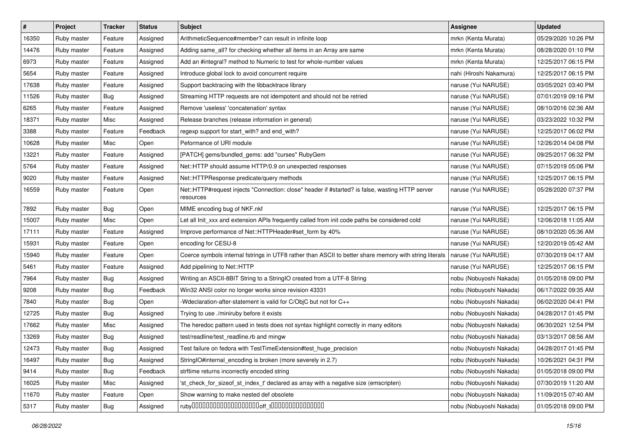| $\pmb{\#}$ | Project     | <b>Tracker</b> | <b>Status</b> | <b>Subject</b>                                                                                               | <b>Assignee</b>         | <b>Updated</b>      |
|------------|-------------|----------------|---------------|--------------------------------------------------------------------------------------------------------------|-------------------------|---------------------|
| 16350      | Ruby master | Feature        | Assigned      | ArithmeticSequence#member? can result in infinite loop                                                       | mrkn (Kenta Murata)     | 05/29/2020 10:26 PM |
| 14476      | Ruby master | Feature        | Assigned      | Adding same_all? for checking whether all items in an Array are same                                         | mrkn (Kenta Murata)     | 08/28/2020 01:10 PM |
| 6973       | Ruby master | Feature        | Assigned      | Add an #integral? method to Numeric to test for whole-number values                                          | mrkn (Kenta Murata)     | 12/25/2017 06:15 PM |
| 5654       | Ruby master | Feature        | Assigned      | Introduce global lock to avoid concurrent require                                                            | nahi (Hiroshi Nakamura) | 12/25/2017 06:15 PM |
| 17638      | Ruby master | Feature        | Assigned      | Support backtracing with the libbacktrace library                                                            | naruse (Yui NARUSE)     | 03/05/2021 03:40 PM |
| 11526      | Ruby master | Bug            | Assigned      | Streaming HTTP requests are not idempotent and should not be retried                                         | naruse (Yui NARUSE)     | 07/01/2019 09:16 PM |
| 6265       | Ruby master | Feature        | Assigned      | Remove 'useless' 'concatenation' syntax                                                                      | naruse (Yui NARUSE)     | 08/10/2016 02:36 AM |
| 18371      | Ruby master | Misc           | Assigned      | Release branches (release information in general)                                                            | naruse (Yui NARUSE)     | 03/23/2022 10:32 PM |
| 3388       | Ruby master | Feature        | Feedback      | regexp support for start_with? and end_with?                                                                 | naruse (Yui NARUSE)     | 12/25/2017 06:02 PM |
| 10628      | Ruby master | Misc           | Open          | Peformance of URI module                                                                                     | naruse (Yui NARUSE)     | 12/26/2014 04:08 PM |
| 13221      | Ruby master | Feature        | Assigned      | [PATCH] gems/bundled_gems: add "curses" RubyGem                                                              | naruse (Yui NARUSE)     | 09/25/2017 06:32 PM |
| 5764       | Ruby master | Feature        | Assigned      | Net::HTTP should assume HTTP/0.9 on unexpected responses                                                     | naruse (Yui NARUSE)     | 07/15/2019 05:06 PM |
| 9020       | Ruby master | Feature        | Assigned      | Net::HTTPResponse predicate/query methods                                                                    | naruse (Yui NARUSE)     | 12/25/2017 06:15 PM |
| 16559      | Ruby master | Feature        | Open          | Net::HTTP#request injects "Connection: close" header if #started? is false, wasting HTTP server<br>resources | naruse (Yui NARUSE)     | 05/28/2020 07:37 PM |
| 7892       | Ruby master | <b>Bug</b>     | Open          | MIME encoding bug of NKF.nkf                                                                                 | naruse (Yui NARUSE)     | 12/25/2017 06:15 PM |
| 15007      | Ruby master | Misc           | Open          | Let all Init_xxx and extension APIs frequently called from init code paths be considered cold                | naruse (Yui NARUSE)     | 12/06/2018 11:05 AM |
| 17111      | Ruby master | Feature        | Assigned      | Improve performance of Net::HTTPHeader#set_form by 40%                                                       | naruse (Yui NARUSE)     | 08/10/2020 05:36 AM |
| 15931      | Ruby master | Feature        | Open          | encoding for CESU-8                                                                                          | naruse (Yui NARUSE)     | 12/20/2019 05:42 AM |
| 15940      | Ruby master | Feature        | Open          | Coerce symbols internal fstrings in UTF8 rather than ASCII to better share memory with string literals       | naruse (Yui NARUSE)     | 07/30/2019 04:17 AM |
| 5461       | Ruby master | Feature        | Assigned      | Add pipelining to Net::HTTP                                                                                  | naruse (Yui NARUSE)     | 12/25/2017 06:15 PM |
| 7964       | Ruby master | Bug            | Assigned      | Writing an ASCII-8BIT String to a StringIO created from a UTF-8 String                                       | nobu (Nobuyoshi Nakada) | 01/05/2018 09:00 PM |
| 9208       | Ruby master | Bug            | Feedback      | Win32 ANSI color no longer works since revision 43331                                                        | nobu (Nobuyoshi Nakada) | 06/17/2022 09:35 AM |
| 7840       | Ruby master | <b>Bug</b>     | Open          | -Wdeclaration-after-statement is valid for C/ObjC but not for C++                                            | nobu (Nobuyoshi Nakada) | 06/02/2020 04:41 PM |
| 12725      | Ruby master | <b>Bug</b>     | Assigned      | Trying to use ./miniruby before it exists                                                                    | nobu (Nobuyoshi Nakada) | 04/28/2017 01:45 PM |
| 17662      | Ruby master | Misc           | Assigned      | The heredoc pattern used in tests does not syntax highlight correctly in many editors                        | nobu (Nobuyoshi Nakada) | 06/30/2021 12:54 PM |
| 13269      | Ruby master | Bug            | Assigned      | test/readline/test readline.rb and mingw                                                                     | nobu (Nobuyoshi Nakada) | 03/13/2017 08:56 AM |
| 12473      | Ruby master | <b>Bug</b>     | Assigned      | Test failure on fedora with TestTimeExtension#test_huge_precision                                            | nobu (Nobuyoshi Nakada) | 04/28/2017 01:45 PM |
| 16497      | Ruby master | <b>Bug</b>     | Assigned      | StringIO#internal_encoding is broken (more severely in 2.7)                                                  | nobu (Nobuyoshi Nakada) | 10/26/2021 04:31 PM |
| 9414       | Ruby master | <b>Bug</b>     | Feedback      | strftime returns incorrectly encoded string                                                                  | nobu (Nobuyoshi Nakada) | 01/05/2018 09:00 PM |
| 16025      | Ruby master | Misc           | Assigned      | 'st_check_for_sizeof_st_index_t' declared as array with a negative size (emscripten)                         | nobu (Nobuyoshi Nakada) | 07/30/2019 11:20 AM |
| 11670      | Ruby master | Feature        | Open          | Show warning to make nested def obsolete                                                                     | nobu (Nobuyoshi Nakada) | 11/09/2015 07:40 AM |
| 5317       | Ruby master | Bug            | Assigned      |                                                                                                              | nobu (Nobuyoshi Nakada) | 01/05/2018 09:00 PM |